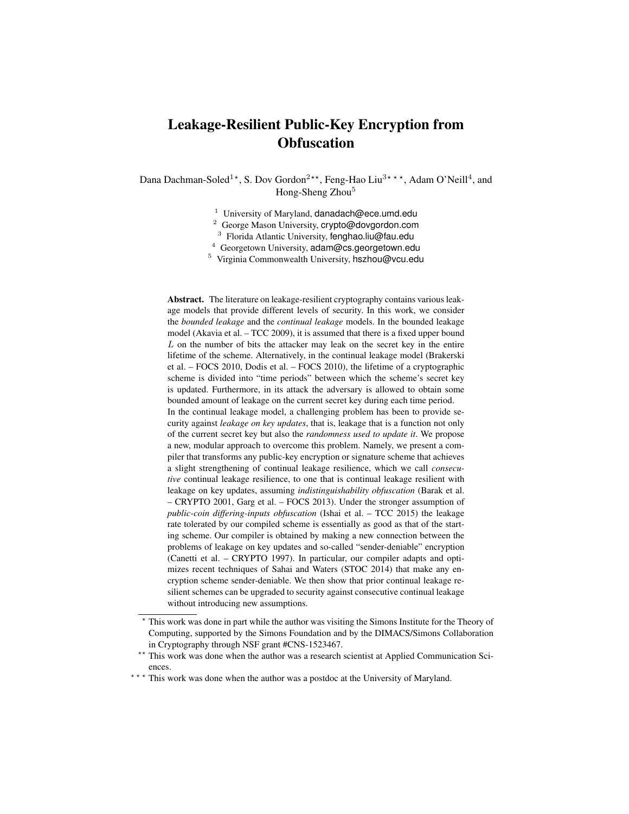# Leakage-Resilient Public-Key Encryption from **Obfuscation**

Dana Dachman-Soled $^{1\star}$ , S. Dov Gordon $^{2\star\star}$ , Feng-Hao Liu $^{3\star\;\star\;\star}$ , Adam O'Neill $^4$ , and Hong-Sheng Zhou<sup>5</sup>

- <sup>1</sup> University of Maryland, danadach@ece.umd.edu
- <sup>2</sup> George Mason University, crypto@dovgordon.com
- <sup>3</sup> Florida Atlantic University, fenghao.liu@fau.edu
- <sup>4</sup> Georgetown University, adam@cs.georgetown.edu
- <sup>5</sup> Virginia Commonwealth University, hszhou@vcu.edu

Abstract. The literature on leakage-resilient cryptography contains various leakage models that provide different levels of security. In this work, we consider the *bounded leakage* and the *continual leakage* models. In the bounded leakage model (Akavia et al. – TCC 2009), it is assumed that there is a fixed upper bound  $L$  on the number of bits the attacker may leak on the secret key in the entire lifetime of the scheme. Alternatively, in the continual leakage model (Brakerski et al. – FOCS 2010, Dodis et al. – FOCS 2010), the lifetime of a cryptographic scheme is divided into "time periods" between which the scheme's secret key is updated. Furthermore, in its attack the adversary is allowed to obtain some bounded amount of leakage on the current secret key during each time period. In the continual leakage model, a challenging problem has been to provide security against *leakage on key updates*, that is, leakage that is a function not only of the current secret key but also the *randomness used to update it*. We propose a new, modular approach to overcome this problem. Namely, we present a compiler that transforms any public-key encryption or signature scheme that achieves a slight strengthening of continual leakage resilience, which we call *consecutive* continual leakage resilience, to one that is continual leakage resilient with leakage on key updates, assuming *indistinguishability obfuscation* (Barak et al. – CRYPTO 2001, Garg et al. – FOCS 2013). Under the stronger assumption of *public-coin differing-inputs obfuscation* (Ishai et al. – TCC 2015) the leakage rate tolerated by our compiled scheme is essentially as good as that of the starting scheme. Our compiler is obtained by making a new connection between the problems of leakage on key updates and so-called "sender-deniable" encryption (Canetti et al. – CRYPTO 1997). In particular, our compiler adapts and optimizes recent techniques of Sahai and Waters (STOC 2014) that make any encryption scheme sender-deniable. We then show that prior continual leakage resilient schemes can be upgraded to security against consecutive continual leakage without introducing new assumptions.

<sup>?</sup> This work was done in part while the author was visiting the Simons Institute for the Theory of Computing, supported by the Simons Foundation and by the DIMACS/Simons Collaboration in Cryptography through NSF grant #CNS-1523467.

<sup>\*\*</sup> This work was done when the author was a research scientist at Applied Communication Sciences.

This work was done when the author was a postdoc at the University of Maryland.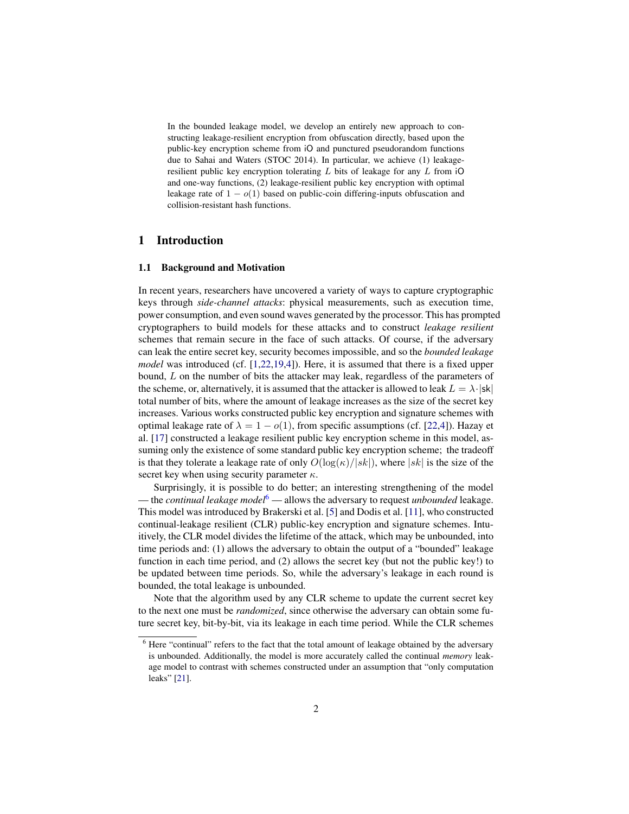In the bounded leakage model, we develop an entirely new approach to constructing leakage-resilient encryption from obfuscation directly, based upon the public-key encryption scheme from iO and punctured pseudorandom functions due to Sahai and Waters (STOC 2014). In particular, we achieve (1) leakageresilient public key encryption tolerating  $L$  bits of leakage for any  $L$  from iO and one-way functions, (2) leakage-resilient public key encryption with optimal leakage rate of  $1 - o(1)$  based on public-coin differing-inputs obfuscation and collision-resistant hash functions.

# 1 Introduction

#### 1.1 Background and Motivation

In recent years, researchers have uncovered a variety of ways to capture cryptographic keys through *side-channel attacks*: physical measurements, such as execution time, power consumption, and even sound waves generated by the processor. This has prompted cryptographers to build models for these attacks and to construct *leakage resilient* schemes that remain secure in the face of such attacks. Of course, if the adversary can leak the entire secret key, security becomes impossible, and so the *bounded leakage model* was introduced (cf. [\[1](#page-24-0)[,22](#page-25-0)[,19](#page-25-1)[,4\]](#page-24-1)). Here, it is assumed that there is a fixed upper bound, L on the number of bits the attacker may leak, regardless of the parameters of the scheme, or, alternatively, it is assumed that the attacker is allowed to leak  $L = \lambda \cdot |\mathsf{sk}|$ total number of bits, where the amount of leakage increases as the size of the secret key increases. Various works constructed public key encryption and signature schemes with optimal leakage rate of  $\lambda = 1 - o(1)$ , from specific assumptions (cf. [\[22,](#page-25-0)[4\]](#page-24-1)). Hazay et al. [\[17\]](#page-25-2) constructed a leakage resilient public key encryption scheme in this model, assuming only the existence of some standard public key encryption scheme; the tradeoff is that they tolerate a leakage rate of only  $O(\log(\kappa)/|sk|)$ , where  $|sk|$  is the size of the secret key when using security parameter  $\kappa$ .

Surprisingly, it is possible to do better; an interesting strengthening of the model — the *continual leakage model*[6](#page-1-0) — allows the adversary to request *unbounded* leakage. This model was introduced by Brakerski et al. [\[5\]](#page-24-2) and Dodis et al. [\[11\]](#page-25-3), who constructed continual-leakage resilient (CLR) public-key encryption and signature schemes. Intuitively, the CLR model divides the lifetime of the attack, which may be unbounded, into time periods and: (1) allows the adversary to obtain the output of a "bounded" leakage function in each time period, and (2) allows the secret key (but not the public key!) to be updated between time periods. So, while the adversary's leakage in each round is bounded, the total leakage is unbounded.

Note that the algorithm used by any CLR scheme to update the current secret key to the next one must be *randomized*, since otherwise the adversary can obtain some future secret key, bit-by-bit, via its leakage in each time period. While the CLR schemes

<span id="page-1-0"></span><sup>&</sup>lt;sup>6</sup> Here "continual" refers to the fact that the total amount of leakage obtained by the adversary is unbounded. Additionally, the model is more accurately called the continual *memory* leakage model to contrast with schemes constructed under an assumption that "only computation leaks" [\[21\]](#page-25-4).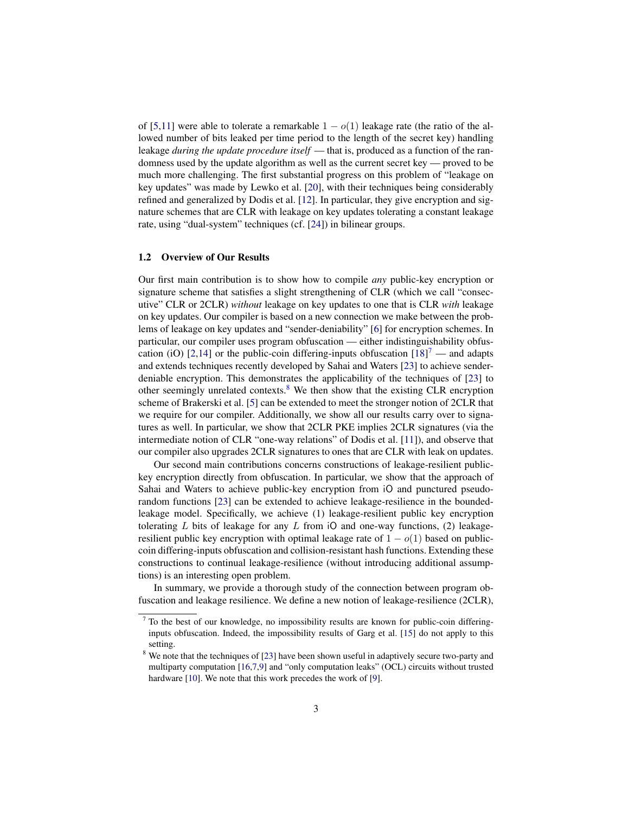of [\[5](#page-24-2)[,11\]](#page-25-3) were able to tolerate a remarkable  $1 - o(1)$  leakage rate (the ratio of the allowed number of bits leaked per time period to the length of the secret key) handling leakage *during the update procedure itself* — that is, produced as a function of the randomness used by the update algorithm as well as the current secret key — proved to be much more challenging. The first substantial progress on this problem of "leakage on key updates" was made by Lewko et al. [\[20\]](#page-25-5), with their techniques being considerably refined and generalized by Dodis et al. [\[12\]](#page-25-6). In particular, they give encryption and signature schemes that are CLR with leakage on key updates tolerating a constant leakage rate, using "dual-system" techniques (cf. [\[24\]](#page-26-0)) in bilinear groups.

#### 1.2 Overview of Our Results

Our first main contribution is to show how to compile *any* public-key encryption or signature scheme that satisfies a slight strengthening of CLR (which we call "consecutive" CLR or 2CLR) *without* leakage on key updates to one that is CLR *with* leakage on key updates. Our compiler is based on a new connection we make between the problems of leakage on key updates and "sender-deniability" [\[6\]](#page-25-7) for encryption schemes. In particular, our compiler uses program obfuscation — either indistinguishability obfus-cation (iO) [\[2,](#page-24-3)[14\]](#page-25-8) or the public-coin differing-inputs obfuscation  $[18]$ <sup>[7](#page-2-0)</sup> — and adapts and extends techniques recently developed by Sahai and Waters [\[23\]](#page-25-10) to achieve senderdeniable encryption. This demonstrates the applicability of the techniques of [\[23\]](#page-25-10) to other seemingly unrelated contexts. $8$  We then show that the existing CLR encryption scheme of Brakerski et al. [\[5\]](#page-24-2) can be extended to meet the stronger notion of 2CLR that we require for our compiler. Additionally, we show all our results carry over to signatures as well. In particular, we show that 2CLR PKE implies 2CLR signatures (via the intermediate notion of CLR "one-way relations" of Dodis et al. [\[11\]](#page-25-3)), and observe that our compiler also upgrades 2CLR signatures to ones that are CLR with leak on updates.

Our second main contributions concerns constructions of leakage-resilient publickey encryption directly from obfuscation. In particular, we show that the approach of Sahai and Waters to achieve public-key encryption from iO and punctured pseudorandom functions [\[23\]](#page-25-10) can be extended to achieve leakage-resilience in the boundedleakage model. Specifically, we achieve (1) leakage-resilient public key encryption tolerating L bits of leakage for any L from iO and one-way functions,  $(2)$  leakageresilient public key encryption with optimal leakage rate of  $1 - o(1)$  based on publiccoin differing-inputs obfuscation and collision-resistant hash functions. Extending these constructions to continual leakage-resilience (without introducing additional assumptions) is an interesting open problem.

In summary, we provide a thorough study of the connection between program obfuscation and leakage resilience. We define a new notion of leakage-resilience (2CLR),

<span id="page-2-0"></span><sup>7</sup> To the best of our knowledge, no impossibility results are known for public-coin differinginputs obfuscation. Indeed, the impossibility results of Garg et al. [\[15\]](#page-25-11) do not apply to this setting.

<span id="page-2-1"></span> $8$  We note that the techniques of [\[23\]](#page-25-10) have been shown useful in adaptively secure two-party and multiparty computation [\[16](#page-25-12)[,7](#page-25-13)[,9\]](#page-25-14) and "only computation leaks" (OCL) circuits without trusted hardware [\[10\]](#page-25-15). We note that this work precedes the work of [\[9\]](#page-25-14).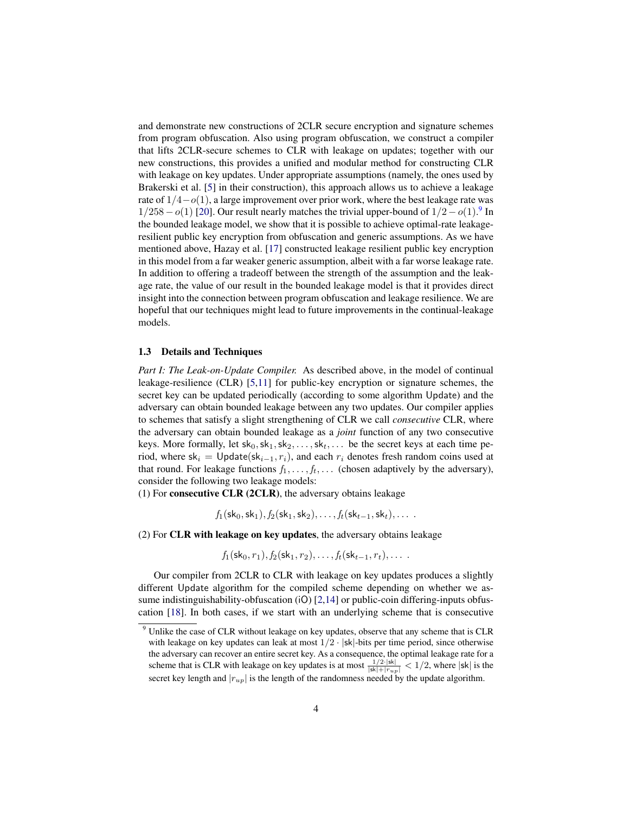and demonstrate new constructions of 2CLR secure encryption and signature schemes from program obfuscation. Also using program obfuscation, we construct a compiler that lifts 2CLR-secure schemes to CLR with leakage on updates; together with our new constructions, this provides a unified and modular method for constructing CLR with leakage on key updates. Under appropriate assumptions (namely, the ones used by Brakerski et al. [\[5\]](#page-24-2) in their construction), this approach allows us to achieve a leakage rate of  $1/4-o(1)$ , a large improvement over prior work, where the best leakage rate was  $1/258 - o(1)$  [\[20\]](#page-25-5). Our result nearly matches the trivial upper-bound of  $1/2 - o(1)$ .<sup>[9](#page-3-0)</sup> In the bounded leakage model, we show that it is possible to achieve optimal-rate leakageresilient public key encryption from obfuscation and generic assumptions. As we have mentioned above, Hazay et al. [\[17\]](#page-25-2) constructed leakage resilient public key encryption in this model from a far weaker generic assumption, albeit with a far worse leakage rate. In addition to offering a tradeoff between the strength of the assumption and the leakage rate, the value of our result in the bounded leakage model is that it provides direct insight into the connection between program obfuscation and leakage resilience. We are hopeful that our techniques might lead to future improvements in the continual-leakage models.

#### 1.3 Details and Techniques

*Part I: The Leak-on-Update Compiler.* As described above, in the model of continual leakage-resilience (CLR) [\[5,](#page-24-2)[11\]](#page-25-3) for public-key encryption or signature schemes, the secret key can be updated periodically (according to some algorithm Update) and the adversary can obtain bounded leakage between any two updates. Our compiler applies to schemes that satisfy a slight strengthening of CLR we call *consecutive* CLR, where the adversary can obtain bounded leakage as a *joint* function of any two consecutive keys. More formally, let  $sk_0, sk_1, sk_2, \ldots, sk_t, \ldots$  be the secret keys at each time period, where sk<sub>i</sub> = Update(sk<sub>i-1</sub>, r<sub>i</sub>), and each r<sub>i</sub> denotes fresh random coins used at that round. For leakage functions  $f_1, \ldots, f_t, \ldots$  (chosen adaptively by the adversary), consider the following two leakage models:

(1) For consecutive CLR (2CLR), the adversary obtains leakage

$$
f_1(\mathsf{sk}_0, \mathsf{sk}_1), f_2(\mathsf{sk}_1, \mathsf{sk}_2), \ldots, f_t(\mathsf{sk}_{t-1}, \mathsf{sk}_t), \ldots
$$

(2) For CLR with leakage on key updates, the adversary obtains leakage

$$
f_1(\mathsf{sk}_0,r_1), f_2(\mathsf{sk}_1,r_2), \ldots, f_t(\mathsf{sk}_{t-1},r_t), \ldots
$$

Our compiler from 2CLR to CLR with leakage on key updates produces a slightly different Update algorithm for the compiled scheme depending on whether we assume indistinguishability-obfuscation (iO)  $[2,14]$  $[2,14]$  or public-coin differing-inputs obfuscation [\[18\]](#page-25-9). In both cases, if we start with an underlying scheme that is consecutive

<span id="page-3-0"></span><sup>&</sup>lt;sup>9</sup> Unlike the case of CLR without leakage on key updates, observe that any scheme that is CLR with leakage on key updates can leak at most  $1/2 \cdot |\mathsf{sk}|$ -bits per time period, since otherwise the adversary can recover an entire secret key. As a consequence, the optimal leakage rate for a scheme that is CLR with leakage on key updates is at most  $\frac{1/2 \cdot |sk|}{|sk| + |r_{up}|} < 1/2$ , where  $|sk|$  is the secret key length and  $|r_{up}|$  is the length of the randomness needed by the update algorithm.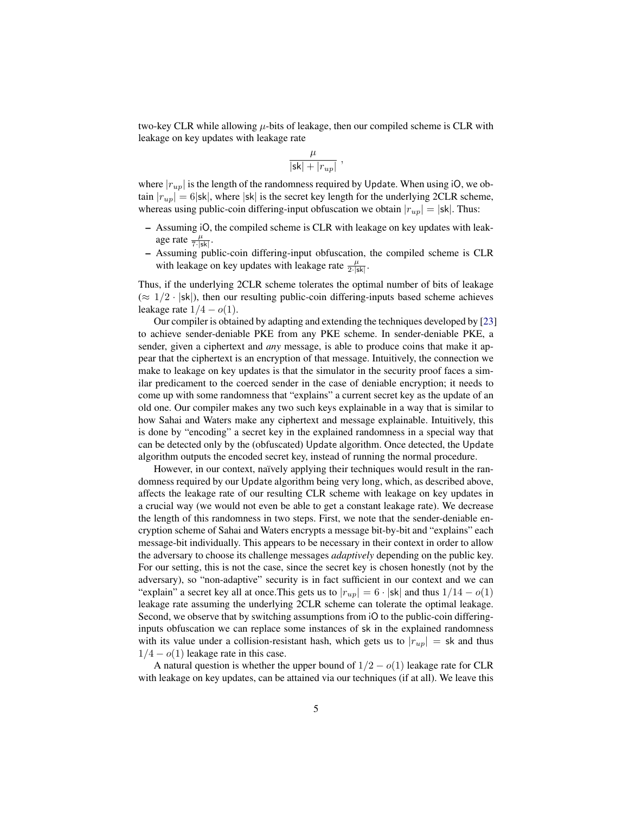two-key CLR while allowing  $\mu$ -bits of leakage, then our compiled scheme is CLR with leakage on key updates with leakage rate

$$
\frac{\mu}{|\mathsf{sk}| + |r_{up}|} \;,
$$

where  $|r_{up}|$  is the length of the randomness required by Update. When using iO, we obtain  $|r_{up}| = 6|\text{sk}|$ , where  $|\text{sk}|$  is the secret key length for the underlying 2CLR scheme, whereas using public-coin differing-input obfuscation we obtain  $|r_{up}| = |\mathsf{sk}|$ . Thus:

- Assuming iO, the compiled scheme is CLR with leakage on key updates with leakage rate  $\frac{\mu}{7 \cdot |\text{sk}|}$ .
- Assuming public-coin differing-input obfuscation, the compiled scheme is CLR with leakage on key updates with leakage rate  $\frac{\mu}{2 \cdot |\mathbf{sk}|}$ .

Thus, if the underlying 2CLR scheme tolerates the optimal number of bits of leakage  $(\approx 1/2 \cdot |sk|)$ , then our resulting public-coin differing-inputs based scheme achieves leakage rate  $1/4 - o(1)$ .

Our compiler is obtained by adapting and extending the techniques developed by [\[23\]](#page-25-10) to achieve sender-deniable PKE from any PKE scheme. In sender-deniable PKE, a sender, given a ciphertext and *any* message, is able to produce coins that make it appear that the ciphertext is an encryption of that message. Intuitively, the connection we make to leakage on key updates is that the simulator in the security proof faces a similar predicament to the coerced sender in the case of deniable encryption; it needs to come up with some randomness that "explains" a current secret key as the update of an old one. Our compiler makes any two such keys explainable in a way that is similar to how Sahai and Waters make any ciphertext and message explainable. Intuitively, this is done by "encoding" a secret key in the explained randomness in a special way that can be detected only by the (obfuscated) Update algorithm. Once detected, the Update algorithm outputs the encoded secret key, instead of running the normal procedure.

However, in our context, naïvely applying their techniques would result in the randomness required by our Update algorithm being very long, which, as described above, affects the leakage rate of our resulting CLR scheme with leakage on key updates in a crucial way (we would not even be able to get a constant leakage rate). We decrease the length of this randomness in two steps. First, we note that the sender-deniable encryption scheme of Sahai and Waters encrypts a message bit-by-bit and "explains" each message-bit individually. This appears to be necessary in their context in order to allow the adversary to choose its challenge messages *adaptively* depending on the public key. For our setting, this is not the case, since the secret key is chosen honestly (not by the adversary), so "non-adaptive" security is in fact sufficient in our context and we can "explain" a secret key all at once. This gets us to  $|r_{up}| = 6 \cdot |$ sk| and thus  $1/14 - o(1)$ leakage rate assuming the underlying 2CLR scheme can tolerate the optimal leakage. Second, we observe that by switching assumptions from iO to the public-coin differinginputs obfuscation we can replace some instances of sk in the explained randomness with its value under a collision-resistant hash, which gets us to  $|r_{up}| = \text{sk}$  and thus  $1/4 - o(1)$  leakage rate in this case.

A natural question is whether the upper bound of  $1/2 - o(1)$  leakage rate for CLR with leakage on key updates, can be attained via our techniques (if at all). We leave this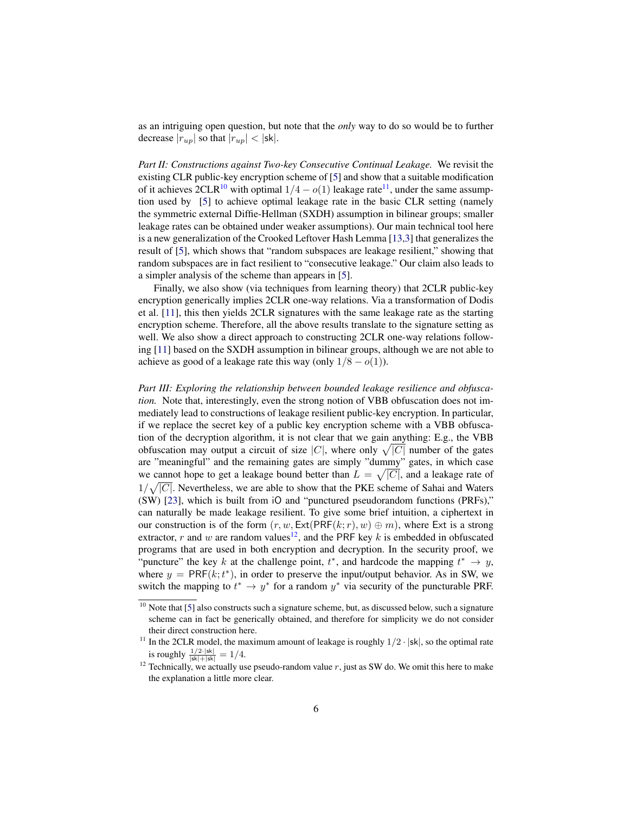as an intriguing open question, but note that the *only* way to do so would be to further decrease  $|r_{up}|$  so that  $|r_{up}| < |$ sk|.

*Part II: Constructions against Two-key Consecutive Continual Leakage.* We revisit the existing CLR public-key encryption scheme of [\[5\]](#page-24-2) and show that a suitable modification of it achieves 2CLR<sup>[10](#page-5-0)</sup> with optimal  $1/4 - o(1)$  leakage rate<sup>[11](#page-5-1)</sup>, under the same assumption used by [\[5\]](#page-24-2) to achieve optimal leakage rate in the basic CLR setting (namely the symmetric external Diffie-Hellman (SXDH) assumption in bilinear groups; smaller leakage rates can be obtained under weaker assumptions). Our main technical tool here is a new generalization of the Crooked Leftover Hash Lemma [\[13](#page-25-16)[,3\]](#page-24-4) that generalizes the result of [\[5\]](#page-24-2), which shows that "random subspaces are leakage resilient," showing that random subspaces are in fact resilient to "consecutive leakage." Our claim also leads to a simpler analysis of the scheme than appears in [\[5\]](#page-24-2).

Finally, we also show (via techniques from learning theory) that 2CLR public-key encryption generically implies 2CLR one-way relations. Via a transformation of Dodis et al. [\[11\]](#page-25-3), this then yields 2CLR signatures with the same leakage rate as the starting encryption scheme. Therefore, all the above results translate to the signature setting as well. We also show a direct approach to constructing 2CLR one-way relations following [\[11\]](#page-25-3) based on the SXDH assumption in bilinear groups, although we are not able to achieve as good of a leakage rate this way (only  $1/8 - o(1)$ ).

*Part III: Exploring the relationship between bounded leakage resilience and obfuscation.* Note that, interestingly, even the strong notion of VBB obfuscation does not immediately lead to constructions of leakage resilient public-key encryption. In particular, if we replace the secret key of a public key encryption scheme with a VBB obfuscation of the decryption algorithm, it is not clear that we gain anything: E.g., the VBB obfuscation may output a circuit of size |C|, where only  $\sqrt{|C|}$  number of the gates are "meaningful" and the remaining gates are simply "dummy" gates, in which case we cannot hope to get a leakage bound better than  $L = \sqrt{|C|}$ , and a leakage rate of  $1/\sqrt{|C|}$ . Nevertheless, we are able to show that the PKE scheme of Sahai and Waters (SW) [\[23\]](#page-25-10), which is built from iO and "punctured pseudorandom functions (PRFs)," can naturally be made leakage resilient. To give some brief intuition, a ciphertext in our construction is of the form  $(r, w, Ext(PRF(k; r), w) \oplus m)$ , where Ext is a strong extractor, r and w are random values<sup>[12](#page-5-2)</sup>, and the PRF key k is embedded in obfuscated programs that are used in both encryption and decryption. In the security proof, we "puncture" the key k at the challenge point,  $t^*$ , and hardcode the mapping  $t^* \rightarrow y$ , where  $y = PRF(k; t^*)$ , in order to preserve the input/output behavior. As in SW, we switch the mapping to  $t^* \to y^*$  for a random  $y^*$  via security of the puncturable PRF.

<span id="page-5-0"></span> $10$  Note that [\[5\]](#page-24-2) also constructs such a signature scheme, but, as discussed below, such a signature scheme can in fact be generically obtained, and therefore for simplicity we do not consider their direct construction here.

<span id="page-5-1"></span><sup>&</sup>lt;sup>11</sup> In the 2CLR model, the maximum amount of leakage is roughly  $1/2 \cdot |\mathsf{sk}|$ , so the optimal rate is roughly  $\frac{1/2 \cdot |sk|}{|sk| + |sk|} = 1/4.$ 

<span id="page-5-2"></span><sup>&</sup>lt;sup>12</sup> Technically, we actually use pseudo-random value  $r$ , just as SW do. We omit this here to make the explanation a little more clear.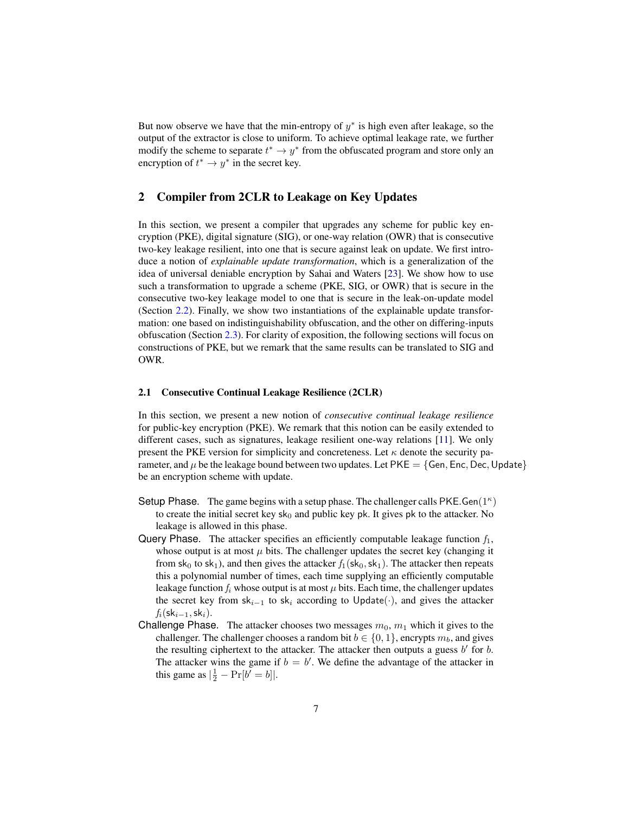But now observe we have that the min-entropy of  $y^*$  is high even after leakage, so the output of the extractor is close to uniform. To achieve optimal leakage rate, we further modify the scheme to separate  $t^* \to y^*$  from the obfuscated program and store only an encryption of  $t^* \to y^*$  in the secret key.

# 2 Compiler from 2CLR to Leakage on Key Updates

In this section, we present a compiler that upgrades any scheme for public key encryption (PKE), digital signature (SIG), or one-way relation (OWR) that is consecutive two-key leakage resilient, into one that is secure against leak on update. We first introduce a notion of *explainable update transformation*, which is a generalization of the idea of universal deniable encryption by Sahai and Waters [\[23\]](#page-25-10). We show how to use such a transformation to upgrade a scheme (PKE, SIG, or OWR) that is secure in the consecutive two-key leakage model to one that is secure in the leak-on-update model (Section [2.2\)](#page-7-0). Finally, we show two instantiations of the explainable update transformation: one based on indistinguishability obfuscation, and the other on differing-inputs obfuscation (Section [2.3\)](#page-10-0). For clarity of exposition, the following sections will focus on constructions of PKE, but we remark that the same results can be translated to SIG and OWR.

#### 2.1 Consecutive Continual Leakage Resilience (2CLR)

In this section, we present a new notion of *consecutive continual leakage resilience* for public-key encryption (PKE). We remark that this notion can be easily extended to different cases, such as signatures, leakage resilient one-way relations [\[11\]](#page-25-3). We only present the PKE version for simplicity and concreteness. Let  $\kappa$  denote the security parameter, and  $\mu$  be the leakage bound between two updates. Let PKE = {Gen, Enc, Dec, Update} be an encryption scheme with update.

- Setup Phase. The game begins with a setup phase. The challenger calls  $PKE.Gen(1^{\kappa})$ to create the initial secret key  $sk_0$  and public key pk. It gives pk to the attacker. No leakage is allowed in this phase.
- Query Phase. The attacker specifies an efficiently computable leakage function  $f_1$ , whose output is at most  $\mu$  bits. The challenger updates the secret key (changing it from sk<sub>0</sub> to sk<sub>1</sub>), and then gives the attacker  $f_1$ (sk<sub>0</sub>, sk<sub>1</sub>). The attacker then repeats this a polynomial number of times, each time supplying an efficiently computable leakage function  $f_i$  whose output is at most  $\mu$  bits. Each time, the challenger updates the secret key from  $sk_{i-1}$  to sk<sub>i</sub> according to Update( $\cdot$ ), and gives the attacker  $f_i(\mathsf{sk}_{i-1},\mathsf{sk}_i)$ .
- Challenge Phase. The attacker chooses two messages  $m_0$ ,  $m_1$  which it gives to the challenger. The challenger chooses a random bit  $b \in \{0, 1\}$ , encrypts  $m_b$ , and gives the resulting ciphertext to the attacker. The attacker then outputs a guess  $b'$  for  $b$ . The attacker wins the game if  $b = b'$ . We define the advantage of the attacker in this game as  $\left|\frac{1}{2} - \Pr[b' = b]\right|$ .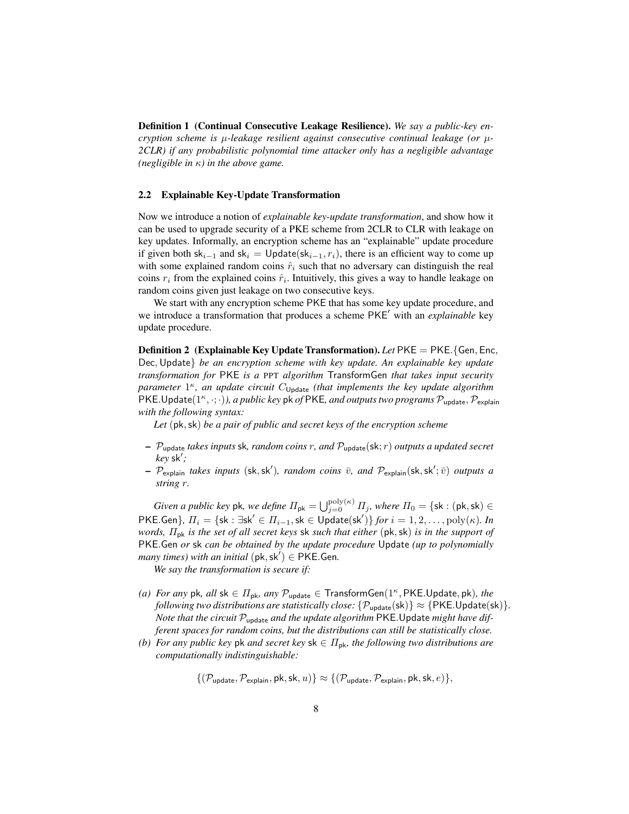Definition 1 (Continual Consecutive Leakage Resilience). *We say a public-key encryption scheme is* µ*-leakage resilient against consecutive continual leakage (or* µ*-2CLR) if any probabilistic polynomial time attacker only has a negligible advantage (negligible in* κ*) in the above game.*

#### <span id="page-7-0"></span>2.2 Explainable Key-Update Transformation

Now we introduce a notion of *explainable key-update transformation*, and show how it can be used to upgrade security of a PKE scheme from 2CLR to CLR with leakage on key updates. Informally, an encryption scheme has an "explainable" update procedure if given both sk<sub>i−1</sub> and sk<sub>i</sub> = Update(sk<sub>i−1</sub>,  $r_i$ ), there is an efficient way to come up with some explained random coins  $\hat{r}_i$  such that no adversary can distinguish the real coins  $r_i$  from the explained coins  $\hat{r}_i$ . Intuitively, this gives a way to handle leakage on random coins given just leakage on two consecutive keys.

We start with any encryption scheme PKE that has some key update procedure, and we introduce a transformation that produces a scheme PKE<sup>'</sup> with an *explainable* key update procedure.

<span id="page-7-1"></span>Definition 2 (Explainable Key Update Transformation). Let PKE = PKE. {Gen, Enc, Dec,Update} *be an encryption scheme with key update. An explainable key update transformation for* PKE *is a* PPT *algorithm* TransformGen *that takes input security* parameter 1<sup>*κ*</sup>, an update circuit C<sub>Update</sub> (that implements the key update algorithm PKE.Update(1<sup>*κ*</sup>, .; .)), *a public key* pk *of* PKE, *and outputs two programs*  $\mathcal{P}_{update}$ ,  $\mathcal{P}_{explain}$ *with the following syntax:*

*Let* (pk,sk) *be a pair of public and secret keys of the encryption scheme*

- Pupdate *takes inputs* sk*, random coins* r*, and* Pupdate(sk; r) *outputs a updated secret key* sk<sup>0</sup> *;*
- $\mathcal{P}_{\text{explain}}$  *takes inputs* (sk, sk'), *random coins*  $\bar{v}$ , *and*  $\mathcal{P}_{\text{explain}}(\text{sk}, \text{sk}'; \bar{v})$  *outputs a string* r*.*

*Given a public key* pk, we define  $\Pi_{\sf pk} = \bigcup_{j=0}^{\sf poly(\kappa)} \varPi_j$ , where  $\Pi_0 = \{\sf sk : (pk, sk) \in \mathcal{S}$  $PKE.Gen$ },  $\Pi_i = \{\mathsf{sk}: \exists \mathsf{sk}' \in \Pi_{i-1}, \mathsf{sk} \in \mathsf{Update}(\mathsf{sk}')\}$  *for*  $i = 1, 2, \ldots, \mathrm{poly}(\kappa)$ *. In words,*  $\Pi_{\text{pk}}$  *is the set of all secret keys sk such that either* (pk, *sk) is in the support of* PKE.Gen *or* sk *can be obtained by the update procedure* Update *(up to polynomially many times) with an initial*  $(\mathsf{pk}, \mathsf{sk}') \in \mathsf{PKE}$ .Gen.

*We say the transformation is secure if:*

- $(a)$  *For any* pk, all sk  $\in \Pi_{\text{pk}}$ , any  $\mathcal{P}_{\text{update}} \in \text{TransformGen}(1^{\kappa}, \text{PKE}. \text{Update}, \text{pk})$ , the *following two distributions are statistically close:*  $\{P_{\text{update}}(sk)\} \approx \{PKE.U\text{plate}(sk)\}.$ *Note that the circuit* Pupdate *and the update algorithm* PKE.Update *might have different spaces for random coins, but the distributions can still be statistically close.*
- *(b) For any public key* pk *and secret key* sk  $\in \Pi_{\text{pk}}$ *, the following two distributions are computationally indistinguishable:*

 $\{(\mathcal{P}_{\mathsf{update}},\mathcal{P}_{\mathsf{explain}},\mathsf{pk},\mathsf{sk},u)\}\approx\{(\mathcal{P}_{\mathsf{update}},\mathcal{P}_{\mathsf{explain}},\mathsf{pk},\mathsf{sk},e)\},$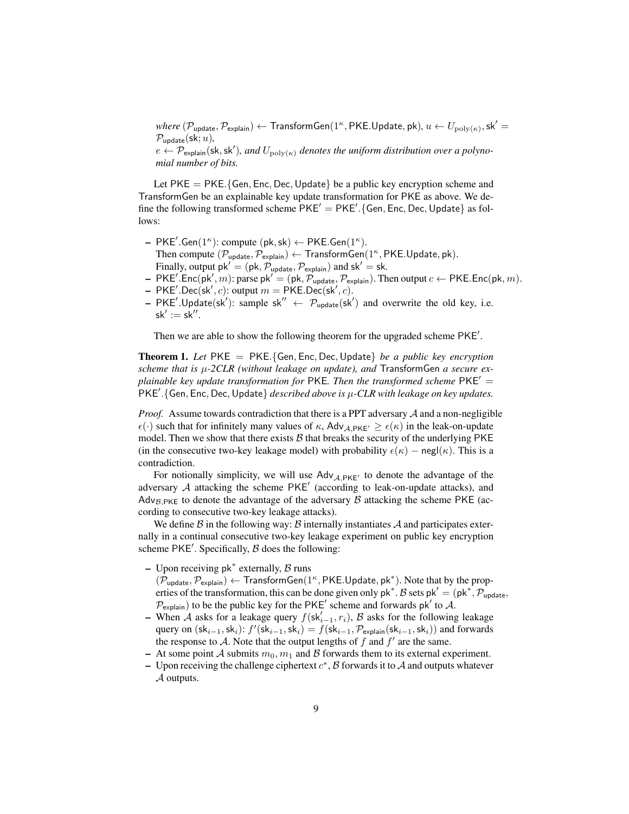$\mathit{where}\ (\mathcal{P}_{\mathsf{update}}, \mathcal{P}_{\mathsf{explain}}) \leftarrow \mathsf{TransformGen}(1^\kappa, \mathsf{PKE}. \mathsf{Update}, \mathsf{pk}), u \leftarrow U_{\mathsf{poly}(\kappa)}, \mathsf{sk'}=0$  $\mathcal{P}_{\text{update}}(\textsf{sk}; u)$ ,

 $e \leftarrow \mathcal{P}_{\textsf{explain}}(\textsf{sk}, \textsf{sk}'),$  and  $U_{\text{poly}(\kappa)}$  denotes the uniform distribution over a polyno*mial number of bits.*

Let  $PKE = PKE.\{Gen, Enc, Dec, Update\}$  be a public key encryption scheme and TransformGen be an explainable key update transformation for PKE as above. We define the following transformed scheme  $PKE' = PKE'$ . {Gen, Enc, Dec, Update} as follows:

- $-$  PKE'.Gen(1<sup> $\kappa$ </sup>): compute (pk, sk)  $\leftarrow$  PKE.Gen(1<sup> $\kappa$ </sup>). Then compute  $(\mathcal{P}_{\mathsf{update}}, \mathcal{P}_{\mathsf{explain}}) \leftarrow \mathsf{TransformGen}(1^{\kappa}, \mathsf{PKE}.\mathsf{Update}, \mathsf{pk}).$ Finally, output  $pk' = (pk, P_{update}, P_{explain})$  and  $sk' = sk$ .
- $-$  PKE'.Enc(pk', m): parse pk' = (pk,  $\mathcal{P}_{update}, \mathcal{P}_{explain}$ ). Then output  $c \leftarrow \text{PKE}$ .Enc(pk, m).  $-$  PKE'.Dec(sk', c): output  $m =$  PKE.Dec(sk', c).
- PKE'.Update(sk'): sample sk''  $\leftarrow$   $\mathcal{P}_{\text{update}}(\textsf{sk}')$  and overwrite the old key, i.e.  $\mathsf{sk}':=\mathsf{sk}''$  .

Then we are able to show the following theorem for the upgraded scheme PKE'.

Theorem 1. *Let* PKE = PKE.{Gen, Enc, Dec,Update} *be a public key encryption scheme that is* µ*-2CLR (without leakage on update), and* TransformGen *a secure explainable key update transformation for* PKE. Then the transformed scheme  $PKE' =$ PKE'.{Gen, Enc, Dec, Update} *described above is µ-CLR with leakage on key updates.* 

*Proof.* Assume towards contradiction that there is a PPT adversary  $A$  and a non-negligible  $\epsilon(\cdot)$  such that for infinitely many values of  $\kappa$ , Adv<sub>A,PKE'</sub>  $\geq \epsilon(\kappa)$  in the leak-on-update model. Then we show that there exists  $\beta$  that breaks the security of the underlying PKE (in the consecutive two-key leakage model) with probability  $\epsilon(\kappa)$  – negl( $\kappa$ ). This is a contradiction.

For notionally simplicity, we will use  $\text{Adv}_{A, PKE'}$  to denote the advantage of the adversary  $A$  attacking the scheme  $PKE'$  (according to leak-on-update attacks), and Adv<sub>B,PKE</sub> to denote the advantage of the adversary  $\beta$  attacking the scheme PKE (according to consecutive two-key leakage attacks).

We define  $\beta$  in the following way:  $\beta$  internally instantiates  $\mathcal A$  and participates externally in a continual consecutive two-key leakage experiment on public key encryption scheme  $PKE'$ . Specifically,  $\beta$  does the following:

- Upon receiving  $pk^*$  externally,  $\beta$  runs
	- $(\overline{\mathcal{P}}_{\mathsf{update}}, \overline{\mathcal{P}}_{\mathsf{explain}}) \leftarrow \mathsf{TransformGen}(1^{\kappa}, \mathsf{PKE}.\mathsf{Update}, \mathsf{pk}^*).$  Note that by the properties of the transformation, this can be done given only  $pk^*$ . B sets  $pk' = (pk^*, \mathcal{P}_{update},$  $\mathcal{P}_{\text{explain}}$ ) to be the public key for the PKE' scheme and forwards pk' to A.
- When A asks for a leakage query  $f$ (sk $'_{i-1}$ ,  $r_i$ ), B asks for the following leakage query on  $(\textsf{sk}_{i-1},\textsf{sk}_i)$ :  $f'(\textsf{sk}_{i-1},\textsf{sk}_i) = f(\textsf{sk}_{i-1},\mathcal{P}_{\textsf{explain}}(\textsf{sk}_{i-1},\textsf{sk}_i))$  and forwards the response to A. Note that the output lengths of  $f$  and  $f'$  are the same.
- At some point A submits  $m_0$ ,  $m_1$  and B forwards them to its external experiment.
- Upon receiving the challenge ciphertext  $c^*$ ,  $\mathcal B$  forwards it to  $\mathcal A$  and outputs whatever A outputs.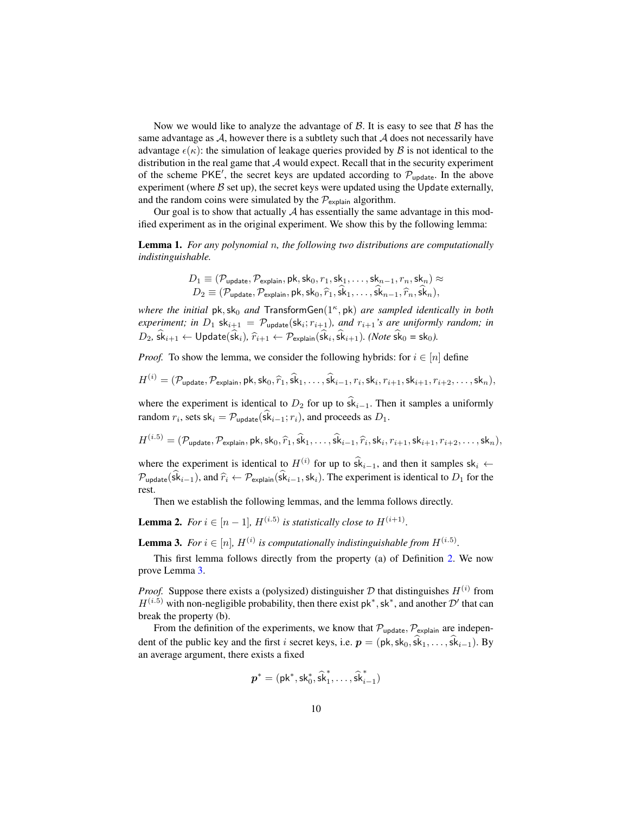Now we would like to analyze the advantage of  $\beta$ . It is easy to see that  $\beta$  has the same advantage as  $A$ , however there is a subtlety such that  $A$  does not necessarily have advantage  $\epsilon(\kappa)$ : the simulation of leakage queries provided by  $\beta$  is not identical to the distribution in the real game that  $A$  would expect. Recall that in the security experiment of the scheme PKE', the secret keys are updated according to  $P_{update}$ . In the above experiment (where  $B$  set up), the secret keys were updated using the Update externally, and the random coins were simulated by the  $P_{\text{explain}}$  algorithm.

Our goal is to show that actually  $A$  has essentially the same advantage in this modified experiment as in the original experiment. We show this by the following lemma:

Lemma 1. *For any polynomial* n*, the following two distributions are computationally indistinguishable.*

$$
D_1 \equiv (\mathcal{P}_{\mathsf{update}}, \mathcal{P}_{\mathsf{explain}}, \mathsf{pk}, \mathsf{sk}_0, r_1, \mathsf{sk}_1, \dots, \mathsf{sk}_{n-1}, r_n, \mathsf{sk}_n) \approx
$$
  

$$
D_2 \equiv (\mathcal{P}_{\mathsf{update}}, \mathcal{P}_{\mathsf{explain}}, \mathsf{pk}, \mathsf{sk}_0, \hat{r}_1, \hat{\mathsf{sk}}_1, \dots, \hat{\mathsf{sk}}_{n-1}, \hat{r}_n, \hat{\mathsf{sk}}_n),
$$

*where the initial*  $pk, sk_0$  *and* TransformGen $(1<sup>\kappa</sup>, pk)$  *are sampled identically in both experiment;* in  $D_1$   $sk_{i+1} = P_{update}(sk_i; r_{i+1})$ *, and*  $r_{i+1}$ *'s are uniformly random; in*  $D_2$ , sk<sub>i+1</sub> ← Update(sk<sub>i</sub>),  $\hat{r}_{i+1}$  ←  $\mathcal{P}_{\text{explain}}(\textsf{sk}_i, \textsf{sk}_{i+1})$ *. (Note* sk<sub>0</sub> = sk<sub>0</sub>).

*Proof.* To show the lemma, we consider the following hybrids: for  $i \in [n]$  define

$$
H^{(i)} = (\mathcal{P}_{\mathsf{update}}, \mathcal{P}_{\mathsf{explain}}, \mathsf{pk}, \mathsf{sk}_0, \widehat{r}_1, \widehat{\mathsf{sk}}_1, \ldots, \widehat{\mathsf{sk}}_{i-1}, r_i, \mathsf{sk}_i, r_{i+1}, \mathsf{sk}_{i+1}, r_{i+2}, \ldots, \mathsf{sk}_n),
$$

where the experiment is identical to  $D_2$  for up to  $\widehat{\text{sk}}_{i-1}$ . Then it samples a uniformly random  $r_i$ , sets sk<sub>i</sub> =  $\mathcal{P}_{\text{update}}(\textsf{sk}_{i-1}; r_i)$ , and proceeds as  $D_1$ .

$$
H^{(i.5)} = (\mathcal{P}_{\mathsf{update}}, \mathcal{P}_{\mathsf{explain}}, \mathsf{pk}, \mathsf{sk}_0, \hat{r}_1, \hat{\mathsf{sk}}_1, \dots, \hat{\mathsf{sk}}_{i-1}, \hat{r}_i, \mathsf{sk}_i, r_{i+1}, \mathsf{sk}_{i+1}, r_{i+2}, \dots, \mathsf{sk}_n),
$$

where the experiment is identical to  $H^{(i)}$  for up to  $\widehat{sk}_{i-1}$ , and then it samples  $sk_i \leftarrow$  $\mathcal{P}_{\text{update}}(\widehat{\textsf{sk}}_{i-1}),$  and  $\widehat{r}_i \leftarrow \mathcal{P}_{\text{explain}}(\widehat{\textsf{sk}}_{i-1},\textsf{sk}_i)$ . The experiment is identical to  $D_1$  for the rest.

Then we establish the following lemmas, and the lemma follows directly.

**Lemma 2.** *For*  $i \in [n-1]$ *,*  $H^{(i.5)}$  *is statistically close to*  $H^{(i+1)}$ *.* 

<span id="page-9-0"></span>**Lemma 3.** *For*  $i \in [n]$ *, H*<sup>(*i*)</sup> *is computationally indistinguishable from H*<sup>(*i.5*)</sup>*.* 

This first lemma follows directly from the property (a) of Definition [2.](#page-7-1) We now prove Lemma [3.](#page-9-0)

*Proof.* Suppose there exists a (polysized) distinguisher  $D$  that distinguishes  $H^{(i)}$  from  $H^{(i,5)}$  with non-negligible probability, then there exist pk<sup>\*</sup>, sk<sup>\*</sup>, and another D' that can break the property (b).

From the definition of the experiments, we know that  $\mathcal{P}_{\text{update}}, \mathcal{P}_{\text{explain}}$  are independent of the public key and the first i secret keys, i.e.  $p = (pk, sk_0, sk_1, \ldots, sk_{i-1})$ . By an average argument, there exists a fixed

$$
\boldsymbol{p}^*=(\mathsf{pk}^*,\mathsf{sk}^*_0,\widehat{\mathsf{sk}}^*_1,\ldots,\widehat{\mathsf{sk}}^*_{i-1})
$$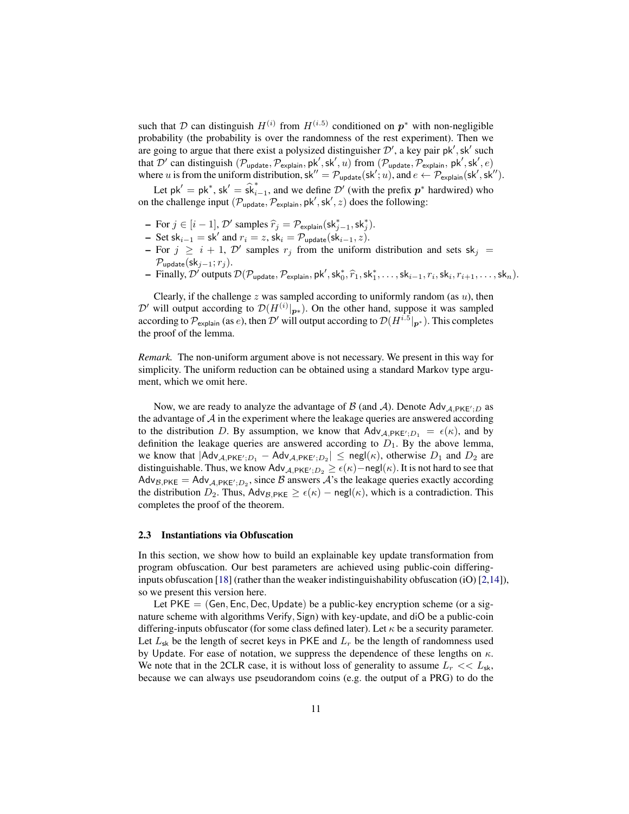such that D can distinguish  $H^{(i)}$  from  $H^{(i,5)}$  conditioned on  $p^*$  with non-negligible probability (the probability is over the randomness of the rest experiment). Then we are going to argue that there exist a polysized distinguisher  $\mathcal{D}'$ , a key pair pk', sk' such that  $\mathcal{D}'$  can distinguish  $(\mathcal{P}_{update}, \mathcal{P}_{explain}, \textsf{pk}', \textsf{sk}', u)$  from  $(\mathcal{P}_{update}, \mathcal{P}_{explain}, \textsf{pk}', \textsf{sk}', e)$ where u is from the uniform distribution,  $\mathsf{sk}'' = \mathcal{P}_{\mathsf{update}}(\mathsf{sk}'; u)$ , and  $e \leftarrow \mathcal{P}_{\mathsf{explain}}(\mathsf{sk}', \mathsf{sk}'')$ .

Let  $pk' = pk^*$ ,  $sk' = sk_k^*$  $i_{i-1}$ , and we define  $\mathcal{D}'$  (with the prefix  $p^*$  hardwired) who on the challenge input  $(\mathcal{P}_{update}, \mathcal{P}_{explain}, \text{pk}', \text{sk}', z)$  does the following:

- For  $j \in [i-1], \mathcal{D}'$  samples  $\hat{r}_j = \mathcal{P}_{\text{explain}}(\mathsf{sk}_{j-1}^*, \mathsf{sk}_j^*)$ .
- $\blacktriangleright$  Set sk<sub>i-1</sub> = sk' and  $r_i = z$ , sk<sub>i</sub> =  $\mathcal{P}_{update}(s k_{i-1}, z)$ .
- For  $j \geq i + 1$ , D' samples  $r_j$  from the uniform distribution and sets sk<sub>j</sub> =  $\mathcal{P}_{\text{update}}(\textsf{sk}_{i-1}; r_i).$
- $-$  Finally,  $\mathcal{D}'$  outputs  $\mathcal{D}(\mathcal{P}_{\mathsf{update}}, \mathcal{P}_{\mathsf{explain}}, \mathsf{pk}', \mathsf{sk}_0^*, \widehat{r}_1, \mathsf{sk}_1^*, \ldots, \mathsf{sk}_{i-1}, r_i, \mathsf{sk}_i, r_{i+1}, \ldots, \mathsf{sk}_n).$

Clearly, if the challenge  $z$  was sampled according to uniformly random (as  $u$ ), then  $\mathcal{D}'$  will output according to  $\mathcal{D}(H^{(i)}|_{p*})$ . On the other hand, suppose it was sampled according to  $\mathcal{P}_{\sf explain}$  (as  $e$ ), then  $\mathcal{D}'$  will output according to  $\mathcal{D}(H^{i.5}|_{\bm p^*})$ . This completes the proof of the lemma.

*Remark.* The non-uniform argument above is not necessary. We present in this way for simplicity. The uniform reduction can be obtained using a standard Markov type argument, which we omit here.

Now, we are ready to analyze the advantage of B (and A). Denote  $\mathsf{Adv}_{\mathcal{A}, \mathsf{PKE'}; D}$  as the advantage of  $A$  in the experiment where the leakage queries are answered according to the distribution D. By assumption, we know that  $\text{Adv}_{A,\text{PKE}';D_1} = \epsilon(\kappa)$ , and by definition the leakage queries are answered according to  $D_1$ . By the above lemma, we know that  $|{\sf Adv}_{A, {\sf PKE'}; D_1} - {\sf Adv}_{A, {\sf PKE'}; D_2}| \leq {\sf negl}(\kappa)$ , otherwise  $D_1$  and  $D_2$  are distinguishable. Thus, we know  $\mathsf{Adv}_{\mathcal{A},\mathsf{PKE'};D_2} \geq \epsilon(\kappa) - \mathsf{negl}(\kappa).$  It is not hard to see that  $\mathsf{Adv}_{\mathcal{B},\mathsf{PKE}} = \mathsf{Adv}_{\mathcal{A},\mathsf{PKE'};D_2}$ , since  $\mathcal B$  answers  $\mathcal A$ 's the leakage queries exactly according the distribution  $D_2$ . Thus, Adv<sub>B,PKE</sub>  $\geq \epsilon(\kappa)$  – negl( $\kappa$ ), which is a contradiction. This completes the proof of the theorem.

#### <span id="page-10-0"></span>2.3 Instantiations via Obfuscation

In this section, we show how to build an explainable key update transformation from program obfuscation. Our best parameters are achieved using public-coin differinginputs obfuscation  $[18]$  (rather than the weaker indistinguishability obfuscation (iO)  $[2,14]$  $[2,14]$ ), so we present this version here.

Let  $PKE = (Gen, Enc, Dec, Update)$  be a public-key encryption scheme (or a signature scheme with algorithms Verify, Sign) with key-update, and diO be a public-coin differing-inputs obfuscator (for some class defined later). Let  $\kappa$  be a security parameter. Let  $L_{sk}$  be the length of secret keys in PKE and  $L_r$  be the length of randomness used by Update. For ease of notation, we suppress the dependence of these lengths on  $\kappa$ . We note that in the 2CLR case, it is without loss of generality to assume  $L_r \ll L_{\rm sk}$ , because we can always use pseudorandom coins (e.g. the output of a PRG) to do the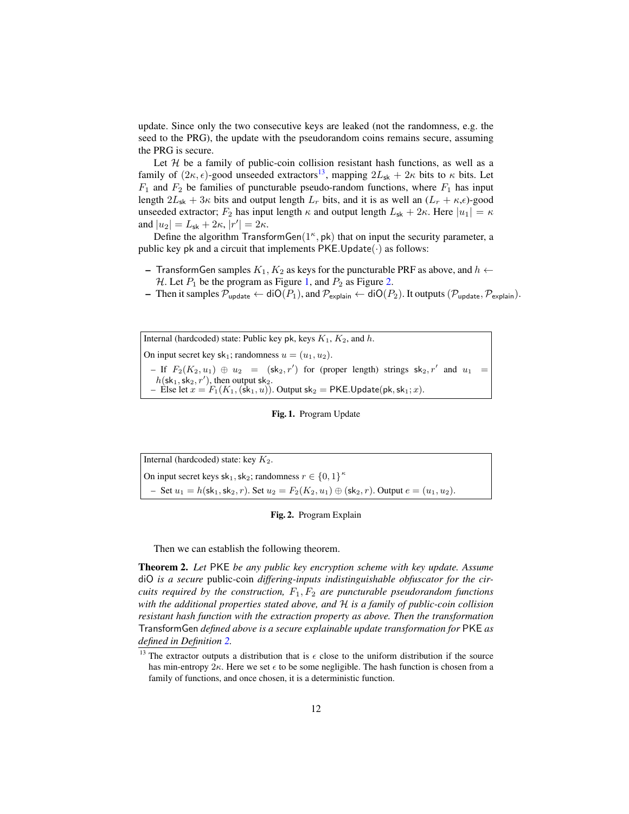update. Since only the two consecutive keys are leaked (not the randomness, e.g. the seed to the PRG), the update with the pseudorandom coins remains secure, assuming the PRG is secure.

Let  $H$  be a family of public-coin collision resistant hash functions, as well as a family of  $(2\kappa, \epsilon)$ -good unseeded extractors<sup>[13](#page-11-0)</sup>, mapping  $2L_{sk} + 2\kappa$  bits to  $\kappa$  bits. Let  $F_1$  and  $F_2$  be families of puncturable pseudo-random functions, where  $F_1$  has input length  $2L_{sk} + 3\kappa$  bits and output length  $L_r$  bits, and it is as well an  $(L_r + \kappa, \epsilon)$ -good unseeded extractor;  $F_2$  has input length  $\kappa$  and output length  $L_{sk} + 2\kappa$ . Here  $|u_1| = \kappa$ and  $|u_2| = L_{\sf sk} + 2\kappa$ ,  $|r'| = 2\kappa$ .

Define the algorithm Transform Gen $(1^{\kappa}, \mathsf{pk})$  that on input the security parameter, a public key pk and a circuit that implements  $PKE.Update(·)$  as follows:

- TransformGen samples  $K_1, K_2$  as keys for the puncturable PRF as above, and  $h \leftarrow$ H. Let  $P_1$  be the program as Figure [1,](#page-11-1) and  $P_2$  as Figure [2.](#page-11-2)
- Then it samples  $\mathcal{P}_{update} \leftarrow \text{diO}(P_1)$ , and  $\mathcal{P}_{evalain} \leftarrow \text{diO}(P_2)$ . It outputs ( $\mathcal{P}_{update}, \mathcal{P}_{evalain}$ ).

Internal (hardcoded) state: Public key pk, keys  $K_1$ ,  $K_2$ , and h. On input secret key  $sk_1$ ; randomness  $u = (u_1, u_2)$ . – If  $F_2(K_2, u_1) ⊕ u_2 = (\mathsf{sk}_2, r')$  for (proper length) strings  $\mathsf{sk}_2, r'$  and  $u_1$  =  $h(\mathsf{sk}_1, \mathsf{sk}_2, r')$ , then output sk<sub>2</sub>.  $-$  Else let  $x = F_1(K_1, (\hat{\mathsf{sk}}_1, u))$ . Output  $\mathsf{sk}_2 = \mathsf{PKE}$ .Update(pk,  $\mathsf{sk}_1; x)$ .

#### <span id="page-11-1"></span>Fig. 1. Program Update

Internal (hardcoded) state: key  $K_2$ . On input secret keys  $\mathsf{sk}_1, \mathsf{sk}_2$ ; randomness  $r \in \{0, 1\}^{\kappa}$ – Set  $u_1 = h(\textsf{sk}_1, \textsf{sk}_2, r)$ . Set  $u_2 = F_2(K_2, u_1) ⊕ (\textsf{sk}_2, r)$ . Output  $e = (u_1, u_2)$ .

#### <span id="page-11-2"></span>Fig. 2. Program Explain

Then we can establish the following theorem.

Theorem 2. *Let* PKE *be any public key encryption scheme with key update. Assume* diO *is a secure* public-coin *differing-inputs indistinguishable obfuscator for the circuits required by the construction,*  $F_1, F_2$  *are puncturable pseudorandom functions with the additional properties stated above, and* H *is a family of public-coin collision resistant hash function with the extraction property as above. Then the transformation* TransformGen *defined above is a secure explainable update transformation for* PKE *as defined in Definition [2.](#page-7-1)*

<span id="page-11-0"></span><sup>&</sup>lt;sup>13</sup> The extractor outputs a distribution that is  $\epsilon$  close to the uniform distribution if the source has min-entropy  $2\kappa$ . Here we set  $\epsilon$  to be some negligible. The hash function is chosen from a family of functions, and once chosen, it is a deterministic function.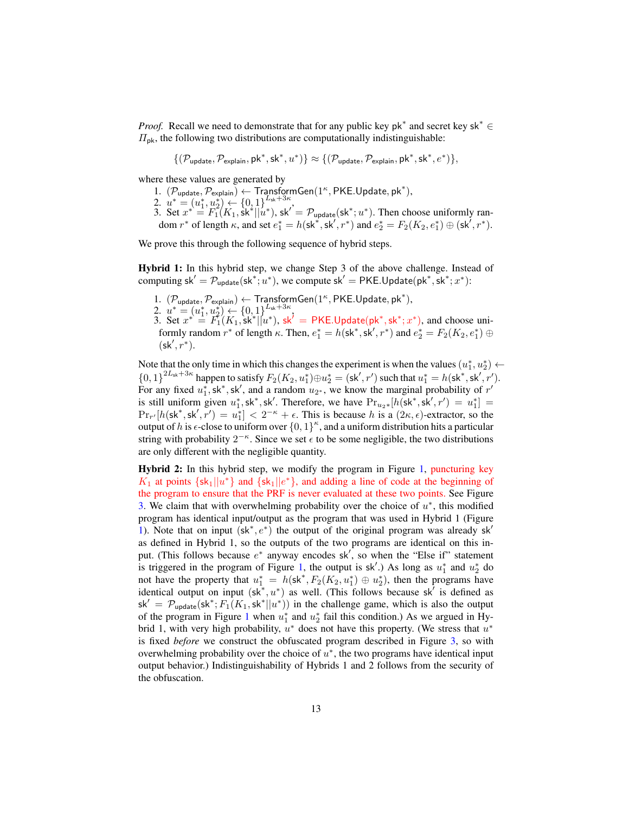*Proof.* Recall we need to demonstrate that for any public key  $pk^*$  and secret key  $sk^* \in$  $\Pi_{\rm pk}$ , the following two distributions are computationally indistinguishable:

$$
\{(\mathcal{P}_{\mathsf{update}}, \mathcal{P}_{\mathsf{explain}}, \mathsf{pk}^*, \mathsf{sk}^*, u^*)\} \approx \{(\mathcal{P}_{\mathsf{update}}, \mathcal{P}_{\mathsf{explain}}, \mathsf{pk}^*, \mathsf{sk}^*, e^*)\},
$$

where these values are generated by

1.  $(\mathcal{P}_{\mathsf{update}}, \mathcal{P}_{\mathsf{explain}}) \leftarrow \mathsf{TransportFormGen}(1^{\kappa}, \mathsf{PKE}.\mathsf{Update}, \mathsf{pk}^*),$ 2.  $u^* = (u_1^*, u_2^*) \leftarrow \{0, 1\}^{L_{\rm sk} + 3\kappa},$ 3. Set  $x^* = F_1(K_1, \mathsf{sk}^*||u^*), \mathsf{sk}' = \mathcal{P}_{\mathsf{update}}(\mathsf{sk}^*; u^*).$  Then choose uniformly random  $r^*$  of length  $\kappa$ , and set  $e_1^* = h(\textsf{sk}^*, \textsf{sk}', r^*)$  and  $e_2^* = F_2(K_2, e_1^*) \oplus (\textsf{sk}', r^*)$ .

We prove this through the following sequence of hybrid steps.

Hybrid 1: In this hybrid step, we change Step 3 of the above challenge. Instead of computing  $sk' = \mathcal{P}_{update}(sk^*; u^*)$ , we compute  $sk' = \text{PKE.Update}(pk^*, sk^*; x^*)$ :

- 1.  $(\mathcal{P}_{\text{update}}, \mathcal{P}_{\text{explain}}) \leftarrow \text{TransportGen}(1^{\kappa}, \text{PKE}. \text{Update}, \text{pk}^*),$
- 2.  $u^* = (u_1^*, u_2^*) \leftarrow \{0, 1\}^{L_{\rm sk} + 3\kappa},$

3. Set  $x^* = F_1(K_1, \mathsf{sk}^*||u^*), \mathsf{sk}^{\prime} = \mathsf{PKE}.\mathsf{Update}(\mathsf{pk}^*, \mathsf{sk}^*; x^*),$  and choose uniformly random  $r^*$  of length  $\kappa$ . Then,  $e_1^* = h(\textsf{sk}^*,\textsf{sk}',r^*)$  and  $e_2^* = F_2(K_2,e_1^*) \oplus$  $(\mathsf{sk}', r^*)$ .

Note that the only time in which this changes the experiment is when the values  $(u_1^*, u_2^*) \leftarrow$  ${0,1}^{2L_{sk}+3\kappa}$  happen to satisfy  $F_2(K_2, u_1^*)\oplus u_2^* = (\mathsf{sk}', r')$  such that  $u_1^* = h(\mathsf{sk}^*, \mathsf{sk}', r').$ For any fixed  $u_1^*$ , sk<sup>\*</sup>, sk', and a random  $u_2^*$ , we know the marginal probability of r' is still uniform given  $u_1^*$ , sk<sup>\*</sup>, sk'. Therefore, we have  $Pr_{u_2*}[h(\mathsf{sk}^*, \mathsf{sk}', r') = u_1^*] =$  $\Pr_{r'}[h(\mathsf{sk}^*,\mathsf{sk}',r') = u_1^*] < 2^{-\kappa} + \epsilon$ . This is because h is a  $(2\kappa,\epsilon)$ -extractor, so the output of h is  $\epsilon$ -close to uniform over  $\{0,1\}^{\kappa}$ , and a uniform distribution hits a particular string with probability  $2^{-\kappa}$ . Since we set  $\epsilon$  to be some negligible, the two distributions are only different with the negligible quantity.

Hybrid 2: In this hybrid step, we modify the program in Figure [1,](#page-11-1) puncturing key  $K_1$  at points {sk<sub>1</sub>||u<sup>\*</sup>} and {sk<sub>1</sub>||e<sup>\*</sup>}, and adding a line of code at the beginning of the program to ensure that the PRF is never evaluated at these two points. See Figure [3.](#page-13-0) We claim that with overwhelming probability over the choice of  $u^*$ , this modified program has identical input/output as the program that was used in Hybrid 1 (Figure [1\)](#page-11-1). Note that on input  $(\mathsf{sk}^*, e^*)$  the output of the original program was already sk<sup>'</sup> as defined in Hybrid 1, so the outputs of the two programs are identical on this input. (This follows because  $e^*$  anyway encodes sk, so when the "Else if" statement is triggered in the program of Figure [1,](#page-11-1) the output is  $sk'$ .) As long as  $u_1^*$  and  $u_2^*$  do not have the property that  $u_1^* = h(\textsf{sk}^*, F_2(K_2, u_1^*) \oplus u_2^*)$ , then the programs have identical output on input  $(\mathsf{sk}^*, u^*)$  as well. (This follows because  $\mathsf{sk}^i$  is defined as  $sk' = \mathcal{P}_{\text{update}}(sk^*; F_1(K_1, sk^*||u^*))$  in the challenge game, which is also the output of the program in Figure [1](#page-11-1) when  $u_1^*$  and  $u_2^*$  fail this condition.) As we argued in Hybrid 1, with very high probability,  $u^*$  does not have this property. (We stress that  $u^*$ is fixed *before* we construct the obfuscated program described in Figure [3,](#page-13-0) so with overwhelming probability over the choice of  $u^*$ , the two programs have identical input output behavior.) Indistinguishability of Hybrids 1 and 2 follows from the security of the obfuscation.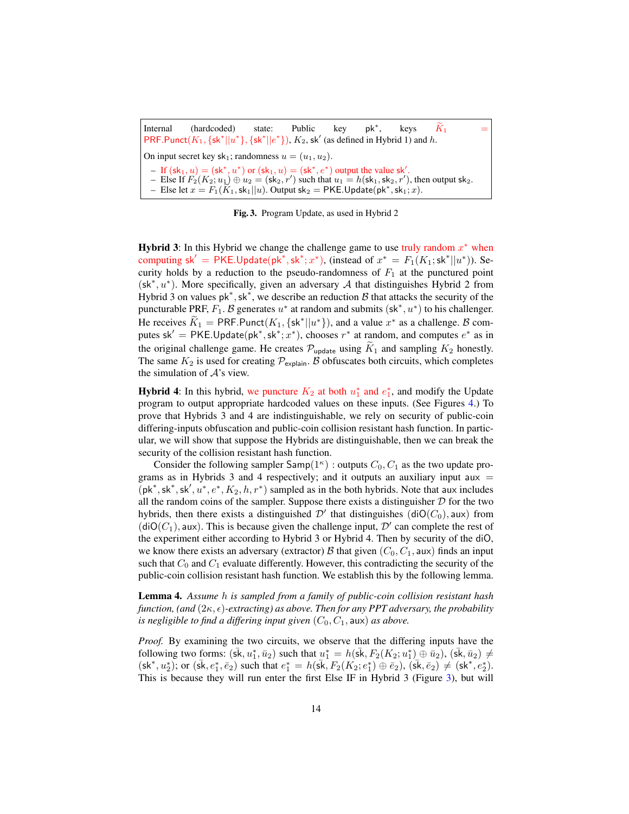| Internal<br>PRF.Punct( $K_1$ , {sk <sup>*</sup>   u <sup>*</sup> }, {sk <sup>*</sup>   e <sup>*</sup> }), $K_2$ , sk' (as defined in Hybrid 1) and h. | (hardcoded) state: Public key pk <sup>*</sup> ,                                                                                                                                                                                                                                                                                                                                                                             |  |  | kevs | $K_1$ |  |
|-------------------------------------------------------------------------------------------------------------------------------------------------------|-----------------------------------------------------------------------------------------------------------------------------------------------------------------------------------------------------------------------------------------------------------------------------------------------------------------------------------------------------------------------------------------------------------------------------|--|--|------|-------|--|
| On input secret key $sk_1$ ; randomness $u = (u_1, u_2)$ .                                                                                            |                                                                                                                                                                                                                                                                                                                                                                                                                             |  |  |      |       |  |
|                                                                                                                                                       | - If $(\mathsf{sk}_1, u) = (\mathsf{sk}^*, u^*)$ or $(\mathsf{sk}_1, u) = (\mathsf{sk}^*, e^*)$ output the value $\mathsf{sk}'$ .<br>- Else If $F_2(K_2; u_1) \oplus u_2 = (\mathsf{sk}_2, r')$ such that $u_1 = h(\mathsf{sk}_1, \mathsf{sk}_2, r')$ , then output $\mathsf{sk}_2$ .<br>- Else let $x = F_1(K_1, \text{sk}_1    u)$ . Output sk <sub>2</sub> = PKE. Update(pk <sup>*</sup> , sk <sub>1</sub> ; <i>x</i> ). |  |  |      |       |  |

<span id="page-13-0"></span>Fig. 3. Program Update, as used in Hybrid 2

Hybrid 3: In this Hybrid we change the challenge game to use truly random  $x^*$  when computing sk' = PKE.Update(pk<sup>\*</sup>, sk<sup>\*</sup>; x<sup>\*</sup>), (instead of  $x^* = F_1(K_1; sk^*||u^*)$ ). Security holds by a reduction to the pseudo-randomness of  $F_1$  at the punctured point (sk<sup>∗</sup> , u<sup>∗</sup> ). More specifically, given an adversary A that distinguishes Hybrid 2 from Hybrid 3 on values  $pk^*$ , sk<sup>\*</sup>, we describe an reduction B that attacks the security of the puncturable PRF,  $F_1$ . B generates  $u^*$  at random and submits  $(\mathsf{sk}^*, u^*)$  to his challenger. He receives  $\widetilde{K}_1$  = PRF.Punct( $K_1$ , {sk<sup>\*</sup>||u<sup>\*</sup>}), and a value  $x^*$  as a challenge. B computes sk' = PKE.Update(pk<sup>\*</sup>, sk<sup>\*</sup>;  $\dot{x}$ <sup>\*</sup>), chooses  $r$ <sup>\*</sup> at random, and computes  $e$ <sup>\*</sup> as in the original challenge game. He creates  $\mathcal{P}_{update}$  using  $K_1$  and sampling  $K_2$  honestly. The same  $K_2$  is used for creating  $\mathcal{P}_{\text{explain}}$ . B obfuscates both circuits, which completes the simulation of  $A$ 's view.

**Hybrid 4:** In this hybrid, we puncture  $K_2$  at both  $u_1^*$  and  $e_1^*$ , and modify the Update program to output appropriate hardcoded values on these inputs. (See Figures [4.](#page-14-0)) To prove that Hybrids 3 and 4 are indistinguishable, we rely on security of public-coin differing-inputs obfuscation and public-coin collision resistant hash function. In particular, we will show that suppose the Hybrids are distinguishable, then we can break the security of the collision resistant hash function.

Consider the following sampler  $\mathsf{Samp}(1^{\kappa})$  : outputs  $C_0, C_1$  as the two update programs as in Hybrids 3 and 4 respectively; and it outputs an auxiliary input  $a\mu x =$  $(\mathsf{pk}^*, \mathsf{sk}^*, \mathsf{sk}', u^*, e^*, K_2, h, r^*)$  sampled as in the both hybrids. Note that aux includes all the random coins of the sampler. Suppose there exists a distinguisher  $D$  for the two hybrids, then there exists a distinguished  $\mathcal{D}'$  that distinguishes (diO( $C_0$ ), aux) from (diO( $C_1$ ), aux). This is because given the challenge input,  $\mathcal{D}'$  can complete the rest of the experiment either according to Hybrid 3 or Hybrid 4. Then by security of the diO, we know there exists an adversary (extractor) B that given  $(C_0, C_1, \text{aux})$  finds an input such that  $C_0$  and  $C_1$  evaluate differently. However, this contradicting the security of the public-coin collision resistant hash function. We establish this by the following lemma.

<span id="page-13-1"></span>Lemma 4. *Assume* h *is sampled from a family of public-coin collision resistant hash function, (and*  $(2\kappa, \epsilon)$ *-extracting) as above. Then for any PPT adversary, the probability is negligible to find a differing input given*  $(C_0, C_1, \text{aux})$  *as above.* 

*Proof.* By examining the two circuits, we observe that the differing inputs have the following two forms:  $(s\bar{k}, u_1^*, \bar{u}_2)$  such that  $u_1^* = h(s\bar{k}, F_2(K_2; u_1^*) \oplus \bar{u}_2)$ ,  $(s\bar{k}, \bar{u}_2) \neq$  $(\mathsf{sk}^*, u_2^*)$ ; or  $(\bar{\mathsf{sk}}, e_1^*, \bar{e}_2)$  such that  $e_1^* = h(\bar{\mathsf{sk}}, F_2(K_2; e_1^*) \oplus \bar{e}_2)$ ,  $(\bar{\mathsf{sk}}, \bar{e}_2) \neq (\mathsf{sk}^*, e_2^*)$ . This is because they will run enter the first Else IF in Hybrid 3 (Figure [3\)](#page-13-0), but will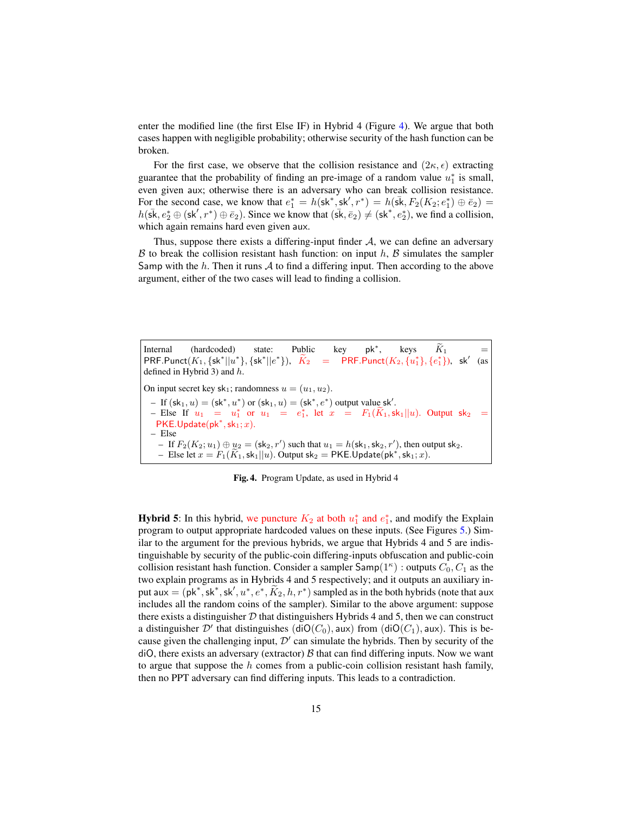enter the modified line (the first Else IF) in Hybrid 4 (Figure [4\)](#page-14-0). We argue that both cases happen with negligible probability; otherwise security of the hash function can be broken.

For the first case, we observe that the collision resistance and  $(2\kappa, \epsilon)$  extracting guarantee that the probability of finding an pre-image of a random value  $u_1^*$  is small, even given aux; otherwise there is an adversary who can break collision resistance. For the second case, we know that  $e_1^* = h(\mathsf{sk}^*, \mathsf{sk}', r^*) = h(\bar{\mathsf{sk}}, F_2(K_2; e_1^*) \oplus \bar{e}_2) =$  $h(\bar{\mathsf{sk}}, e_2^* \oplus (\mathsf{sk}', r^*) \oplus \bar{e}_2)$ . Since we know that  $(\bar{\mathsf{sk}}, \bar{e}_2) \neq (\mathsf{sk}^*, e_2^*)$ , we find a collision, which again remains hard even given aux.

Thus, suppose there exists a differing-input finder  $A$ , we can define an adversary  $\beta$  to break the collision resistant hash function: on input  $h$ ,  $\beta$  simulates the sampler Samp with the  $h$ . Then it runs  $A$  to find a differing input. Then according to the above argument, either of the two cases will lead to finding a collision.

Internal (hardcoded) state: Public key pk<sup>\*</sup>, , keys  $K_1 =$  $\mathsf{PRF.Punct}(K_1, \{\mathsf{sk}^* || u^*\}, \{\mathsf{sk}^* || e^*\}$  $\{K_2 = PRF.Punct(K_2, \{u_1^*\}, \{e_1^*\}), \, \, \text{sk}' \, \, \text{ (as)} \}$ defined in Hybrid 3) and  $h$ . On input secret key  $sk_1$ ; randomness  $u = (u_1, u_2)$ .  $-$  If  $(\mathsf{sk}_1, u) = (\mathsf{sk}^*, u^*)$  or  $(\mathsf{sk}_1, u) = (\mathsf{sk}^*, e^*)$  output value  $\mathsf{sk}'.$ - Else If  $u_1 = u_1^*$  or  $u_1 = e_1^*$ , let  $x = F_1(\widetilde{K}_1, sk_1||u)$ . Output  $sk_2 =$  $PKE.Update(pk^*, sk_1; x)$ . – Else - If  $F_2(K_2; u_1) \oplus \underline{u}_2 = (\textsf{sk}_2, r')$  such that  $u_1 = h(\textsf{sk}_1, \textsf{sk}_2, r')$ , then output  $\textsf{sk}_2$ . – Else let  $x = F_1(\widetilde{K}_1, \mathsf{sk}_1 || u)$ . Output sk<sub>2</sub> = PKE.Update(pk<sup>∗</sup>, sk<sub>1</sub>; *x*).

<span id="page-14-0"></span>Fig. 4. Program Update, as used in Hybrid 4

**Hybrid 5**: In this hybrid, we puncture  $K_2$  at both  $u_1^*$  and  $e_1^*$ , and modify the Explain program to output appropriate hardcoded values on these inputs. (See Figures [5.](#page-15-0)) Similar to the argument for the previous hybrids, we argue that Hybrids 4 and 5 are indistinguishable by security of the public-coin differing-inputs obfuscation and public-coin collision resistant hash function. Consider a sampler  $\mathsf{Samp}(1^{\kappa})$  : outputs  $C_0, C_1$  as the two explain programs as in Hybrids 4 and 5 respectively; and it outputs an auxiliary input aux =  $(\mathsf{pk}^*, \mathsf{sk}^*, \mathsf{sk}', u^*, e^*, \widetilde{K}_2, h, r^*)$  sampled as in the both hybrids (note that aux includes all the random coins of the sampler). Similar to the above argument: suppose there exists a distinguisher  $D$  that distinguishers Hybrids 4 and 5, then we can construct a distinguisher  $\mathcal{D}'$  that distinguishes (diO( $C_0$ ), aux) from (diO( $C_1$ ), aux). This is because given the challenging input,  $\mathcal{D}'$  can simulate the hybrids. Then by security of the  $\text{d}$ iO, there exists an adversary (extractor)  $\beta$  that can find differing inputs. Now we want to argue that suppose the  $h$  comes from a public-coin collision resistant hash family, then no PPT adversary can find differing inputs. This leads to a contradiction.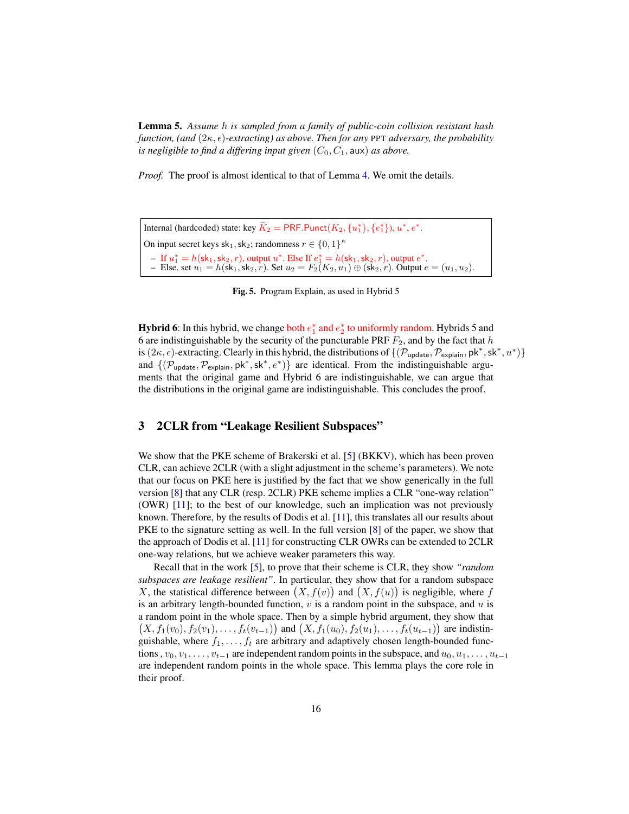Lemma 5. *Assume* h *is sampled from a family of public-coin collision resistant hash function, (and*  $(2\kappa, \epsilon)$ *-extracting) as above. Then for any* PPT *adversary, the probability is negligible to find a differing input given*  $(C_0, C_1, \text{aux})$  *as above.* 

*Proof.* The proof is almost identical to that of Lemma [4.](#page-13-1) We omit the details.

| Internal (hardcoded) state: key $K_2$ = PRF.Punct( $K_2$ , $\{u_1^*\}, \{e_1^*\}, u^*, e^*$ .                                                                                                                                                                          |
|------------------------------------------------------------------------------------------------------------------------------------------------------------------------------------------------------------------------------------------------------------------------|
| On input secret keys $sk_1, sk_2$ ; randomness $r \in \{0,1\}^{\kappa}$                                                                                                                                                                                                |
| - If $u_1^* = h(\text{sk}_1, \text{sk}_2, r)$ , output $u^*$ . Else If $e_1^* = h(\text{sk}_1, \text{sk}_2, r)$ , output $e^*$ .<br>- Else, set $u_1 = h(\text{sk}_1, \text{sk}_2, r)$ . Set $u_2 = F_2(K_2, u_1) \oplus (\text{sk}_2, r)$ . Output $e = (u_1, u_2)$ . |

<span id="page-15-0"></span>Fig. 5. Program Explain, as used in Hybrid 5

**Hybrid 6**: In this hybrid, we change both  $e_1^*$  and  $e_2^*$  to uniformly random. Hybrids 5 and 6 are indistinguishable by the security of the puncturable PRF  $F_2$ , and by the fact that h is  $(2\kappa, \epsilon)$ -extracting. Clearly in this hybrid, the distributions of  $\{(\mathcal{P}_{update}, \mathcal{P}_{explain}, \mathsf{pk}^*, \mathsf{sk}^*, u^*)\}$ and  $\{(\mathcal{P}_{\text{update}}, \mathcal{P}_{\text{explain}}, \text{pk}^*, \text{sk}^*, e^*)\}$  are identical. From the indistinguishable arguments that the original game and Hybrid 6 are indistinguishable, we can argue that the distributions in the original game are indistinguishable. This concludes the proof.

# 3 2CLR from "Leakage Resilient Subspaces"

We show that the PKE scheme of Brakerski et al. [\[5\]](#page-24-2) (BKKV), which has been proven CLR, can achieve 2CLR (with a slight adjustment in the scheme's parameters). We note that our focus on PKE here is justified by the fact that we show generically in the full version [\[8\]](#page-25-17) that any CLR (resp. 2CLR) PKE scheme implies a CLR "one-way relation" (OWR) [\[11\]](#page-25-3); to the best of our knowledge, such an implication was not previously known. Therefore, by the results of Dodis et al. [\[11\]](#page-25-3), this translates all our results about PKE to the signature setting as well. In the full version [\[8\]](#page-25-17) of the paper, we show that the approach of Dodis et al. [\[11\]](#page-25-3) for constructing CLR OWRs can be extended to 2CLR one-way relations, but we achieve weaker parameters this way.

Recall that in the work [\[5\]](#page-24-2), to prove that their scheme is CLR, they show *"random subspaces are leakage resilient"*. In particular, they show that for a random subspace X, the statistical difference between  $(X, f(v))$  and  $(X, f(u))$  is negligible, where f is an arbitrary length-bounded function,  $v$  is a random point in the subspace, and  $u$  is a random point in the whole space. Then by a simple hybrid argument, they show that  $(X, f_1(v_0), f_2(v_1), \ldots, f_t(v_{t-1}))$  and  $(X, f_1(u_0), f_2(u_1), \ldots, f_t(u_{t-1}))$  are indistinguishable, where  $f_1, \ldots, f_t$  are arbitrary and adaptively chosen length-bounded functions ,  $v_0, v_1, \ldots, v_{t-1}$  are independent random points in the subspace, and  $u_0, u_1, \ldots, u_{t-1}$ are independent random points in the whole space. This lemma plays the core role in their proof.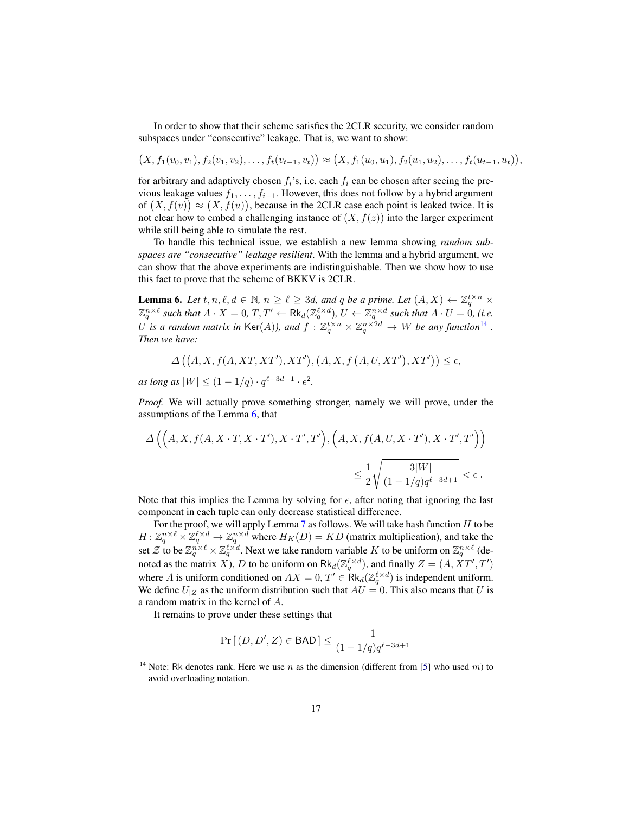In order to show that their scheme satisfies the 2CLR security, we consider random subspaces under "consecutive" leakage. That is, we want to show:

$$
(X, f_1(v_0, v_1), f_2(v_1, v_2), \ldots, f_t(v_{t-1}, v_t)) \approx (X, f_1(u_0, u_1), f_2(u_1, u_2), \ldots, f_t(u_{t-1}, u_t)),
$$

for arbitrary and adaptively chosen  $f_i$ 's, i.e. each  $f_i$  can be chosen after seeing the previous leakage values  $f_1, \ldots, f_{i-1}$ . However, this does not follow by a hybrid argument of  $(X, f(v)) \approx (X, f(u))$ , because in the 2CLR case each point is leaked twice. It is not clear how to embed a challenging instance of  $(X, f(z))$  into the larger experiment while still being able to simulate the rest.

To handle this technical issue, we establish a new lemma showing *random subspaces are "consecutive" leakage resilient*. With the lemma and a hybrid argument, we can show that the above experiments are indistinguishable. Then we show how to use this fact to prove that the scheme of BKKV is 2CLR.

<span id="page-16-1"></span>**Lemma 6.** Let  $t, n, \ell, d \in \mathbb{N}$ ,  $n \geq \ell \geq 3d$ , and q be a prime. Let  $(A, X) \leftarrow \mathbb{Z}_q^{t \times n} \times$  $\mathbb{Z}_q^{n\times\ell}$  such that  $A\cdot X=0$ ,  $T,T'\leftarrow \mathsf{Rk}_d(\mathbb{Z}_q^{\ell\times d})$ ,  $U\leftarrow \mathbb{Z}_q^{n\times d}$  such that  $A\cdot U=0$ , (i.e.  $U$  is a random matrix in  $\mathsf{Ker}(A)$ ), and  $f: \mathbb{Z}_q^{t \times n} \times \mathbb{Z}_q^{n \times 2d} \to W$  be any function<sup>[14](#page-16-0)</sup>. *Then we have:*

$$
\Delta\left((A, X, f(A, XT, XT'), XT'), (A, X, f(A, U, XT'), XT')\right) \le \epsilon,
$$

 $as \, long \, as \, |W| \leq (1 - 1/q) \cdot q^{\ell - 3d + 1} \cdot \epsilon^2.$ 

*Proof.* We will actually prove something stronger, namely we will prove, under the assumptions of the Lemma [6,](#page-16-1) that

$$
\Delta\left(\left(A, X, f(A, X \cdot T, X \cdot T'), X \cdot T', T'\right), \left(A, X, f(A, U, X \cdot T'), X \cdot T', T'\right)\right)
$$
  

$$
\leq \frac{1}{2} \sqrt{\frac{3|W|}{(1 - 1/q)q^{\ell - 3d + 1}}} < \epsilon.
$$

Note that this implies the Lemma by solving for  $\epsilon$ , after noting that ignoring the last component in each tuple can only decrease statistical difference.

For the proof, we will apply Lemma [7](#page-17-0) as follows. We will take hash function  $H$  to be  $H: \mathbb{Z}_q^{n \times \ell} \times \mathbb{Z}_q^{\ell \times d} \to \mathbb{Z}_q^{n \times d}$  where  $H_K(D) = KD$  (matrix multiplication), and take the set Z to be  $\mathbb{Z}_q^{n \times \ell} \times \mathbb{Z}_q^{\ell \times d}$ . Next we take random variable K to be uniform on  $\mathbb{Z}_q^{n \times \ell}$  (denoted as the matrix X), D to be uniform on  $Rk_d(\mathbb{Z}_q^{\ell \times d})$ , and finally  $Z = (A, \hat{X}T', T')$ where A is uniform conditioned on  $AX = 0$ ,  $T' \in \text{Rk}_d(\mathbb{Z}_q^{\ell \times d})$  is independent uniform. We define  $U_{|Z}$  as the uniform distribution such that  $AU = 0$ . This also means that U is a random matrix in the kernel of A.

It remains to prove under these settings that

$$
\Pr\left[\left(D,D',Z\right)\in \mathsf{BAD}\right]\leq \frac{1}{(1-1/q)q^{\ell-3d+1}}
$$

<span id="page-16-0"></span><sup>&</sup>lt;sup>14</sup> Note: Rk denotes rank. Here we use n as the dimension (different from [\[5\]](#page-24-2) who used m) to avoid overloading notation.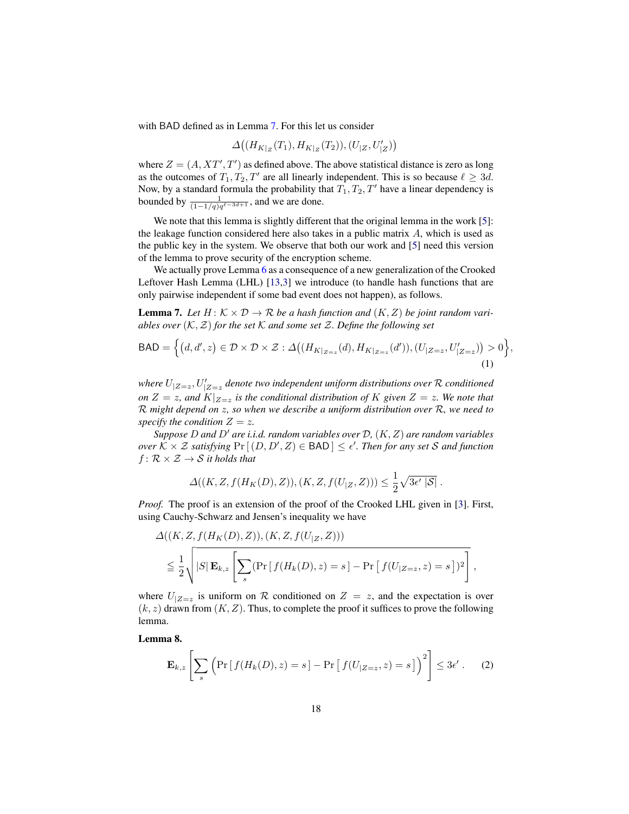with BAD defined as in Lemma [7.](#page-17-0) For this let us consider

$$
\Delta((H_{K|_Z}(T_1),H_{K|_Z}(T_2)),(U_{|Z},U'_{|Z}))
$$

where  $Z = (A, XT', T')$  as defined above. The above statistical distance is zero as long as the outcomes of  $T_1, T_2, T'$  are all linearly independent. This is so because  $\ell \geq 3d$ . Now, by a standard formula the probability that  $T_1, T_2, T'$  have a linear dependency is bounded by  $\frac{1}{(1-1/q)q^{\ell-3d+1}}$ , and we are done.

We note that this lemma is slightly different that the original lemma in the work [\[5\]](#page-24-2): the leakage function considered here also takes in a public matrix  $A$ , which is used as the public key in the system. We observe that both our work and [\[5\]](#page-24-2) need this version of the lemma to prove security of the encryption scheme.

We actually prove Lemma [6](#page-16-1) as a consequence of a new generalization of the Crooked Leftover Hash Lemma (LHL) [\[13](#page-25-16)[,3\]](#page-24-4) we introduce (to handle hash functions that are only pairwise independent if some bad event does not happen), as follows.

<span id="page-17-0"></span>**Lemma 7.** Let  $H: K \times D \to \mathbb{R}$  be a hash function and  $(K, Z)$  be joint random vari*ables over* (K, Z) *for the set* K *and some set* Z*. Define the following set*

$$
\mathsf{BAD} = \left\{ \left( d, d', z \right) \in \mathcal{D} \times \mathcal{D} \times \mathcal{Z} : \Delta \big( (H_{K|_{Z=z}}(d), H_{K|_{Z=z}}(d')), (U_{|Z=z}, U'_{|Z=z}) \big) > 0 \right\}
$$
\n
$$
\tag{1}
$$

<span id="page-17-2"></span>,

where  $U_{|Z=z}, U'_{|Z=z}$  denote two independent uniform distributions over  ${\cal R}$  conditioned *on*  $Z = z$ *, and*  $K|_{Z=z}$  *is the conditional distribution of* K *given*  $Z = z$ *. We note that* R *might depend on* z*, so when we describe a uniform distribution over* R*, we need to specify the condition*  $Z = z$ *.* 

*Suppose* D and D' are *i.i.d.* random variables over  $\mathcal{D}$ ,  $(K, Z)$  are random variables  $\text{over } K \times \mathcal{Z}$  satisfying  $\Pr[(D, D', Z) \in \text{BAD}] \leq \epsilon'$ . Then for any set S and function  $f: \mathcal{R} \times \mathcal{Z} \rightarrow \mathcal{S}$  *it holds that* 

$$
\Delta((K, Z, f(H_K(D), Z)), (K, Z, f(U_{|Z}, Z))) \leq \frac{1}{2} \sqrt{3\epsilon' |\mathcal{S}|}.
$$

*Proof.* The proof is an extension of the proof of the Crooked LHL given in [\[3\]](#page-24-4). First, using Cauchy-Schwarz and Jensen's inequality we have

$$
\Delta((K, Z, f(H_K(D), Z)), (K, Z, f(U_{|Z}, Z)))
$$
\n
$$
\leq \frac{1}{2} \sqrt{|S| \mathbf{E}_{k,z} \left[ \sum_s (\Pr[f(H_k(D), z) = s] - \Pr[f(U_{|Z=z}, z) = s])^2 \right]},
$$

where  $U_{|Z=z}$  is uniform on R conditioned on  $Z = z$ , and the expectation is over  $(k, z)$  drawn from  $(K, Z)$ . Thus, to complete the proof it suffices to prove the following lemma.

Lemma 8.

<span id="page-17-1"></span>
$$
\mathbf{E}_{k,z}\left[\sum_{s}\left(\Pr\left[f(H_k(D),z)=s\right]-\Pr\left[f(U_{|Z=z},z)=s\right]\right)^2\right]\leq 3\epsilon'\,. \tag{2}
$$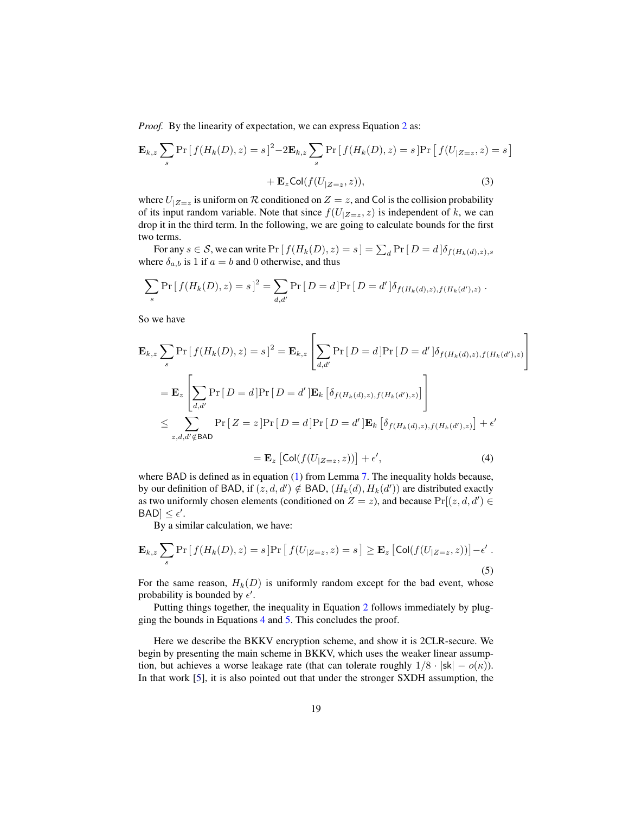*Proof.* By the linearity of expectation, we can express Equation [2](#page-17-1) as:

$$
\mathbf{E}_{k,z} \sum_{s} \Pr\left[f(H_k(D), z) = s\right]^2 - 2\mathbf{E}_{k,z} \sum_{s} \Pr\left[f(H_k(D), z) = s\right] \Pr\left[f(U_{|Z=z}, z) = s\right] + \mathbf{E}_z \text{Col}(f(U_{|Z=z}, z)),\tag{3}
$$

where  $U_{|Z=z}$  is uniform on R conditioned on  $Z=z$ , and Col is the collision probability of its input random variable. Note that since  $f(U_{|Z=z}, z)$  is independent of k, we can drop it in the third term. In the following, we are going to calculate bounds for the first two terms.

For any  $s \in \mathcal{S}$ , we can write  $Pr[f(H_k(D), z) = s] = \sum_d Pr[D = d]\delta_{f(H_k(d), z), s}$ where  $\delta_{a,b}$  is 1 if  $a = b$  and 0 otherwise, and thus

$$
\sum_{s} \Pr[f(H_{k}(D), z) = s]^2 = \sum_{d, d'} \Pr[D = d] \Pr[D = d'] \delta_{f(H_{k}(d), z), f(H_{k}(d'), z)}.
$$

So we have

$$
\mathbf{E}_{k,z} \sum_{s} \Pr\left[f(H_k(D), z) = s\right]^2 = \mathbf{E}_{k,z} \left[\sum_{d,d'} \Pr\left[D = d\right] \Pr\left[D = d'\right] \delta_{f(H_k(d), z), f(H_k(d'), z)}\right]
$$
\n
$$
= \mathbf{E}_z \left[\sum_{d,d'} \Pr\left[D = d\right] \Pr\left[D = d'\right] \mathbf{E}_k \left[\delta_{f(H_k(d), z), f(H_k(d'), z)}\right]\right]
$$
\n
$$
\leq \sum_{z,d,d' \notin \text{BAD}} \Pr\left[Z = z\right] \Pr\left[D = d\right] \Pr\left[D = d'\right] \mathbf{E}_k \left[\delta_{f(H_k(d), z), f(H_k(d'), z)}\right] + \epsilon'
$$

<span id="page-18-0"></span>
$$
= \mathbf{E}_z \left[ \text{Col}(f(U_{|Z=z}, z)) \right] + \epsilon', \tag{4}
$$

1  $\overline{1}$ 

where BAD is defined as in equation [\(1\)](#page-17-2) from Lemma [7.](#page-17-0) The inequality holds because, by our definition of BAD, if  $(z, d, d') \notin$  BAD,  $(H_k(d), H_k(d'))$  are distributed exactly as two uniformly chosen elements (conditioned on  $Z = z$ ), and because  $Pr[(z, d, d')] \in$  $\mathsf{BAD}] \leq \epsilon'.$ 

By a similar calculation, we have:

<span id="page-18-1"></span>
$$
\mathbf{E}_{k,z} \sum_{s} \Pr\left[f(H_k(D), z) = s \right] \Pr\left[f(U_{|Z=z}, z) = s\right] \ge \mathbf{E}_z \left[\text{Col}(f(U_{|Z=z}, z))\right] - \epsilon'.
$$
\n(5)

For the same reason,  $H_k(D)$  is uniformly random except for the bad event, whose probability is bounded by  $\epsilon'$ .

Putting things together, the inequality in Equation [2](#page-17-1) follows immediately by plugging the bounds in Equations [4](#page-18-0) and [5.](#page-18-1) This concludes the proof.

Here we describe the BKKV encryption scheme, and show it is 2CLR-secure. We begin by presenting the main scheme in BKKV, which uses the weaker linear assumption, but achieves a worse leakage rate (that can tolerate roughly  $1/8 \cdot |sk| - o(\kappa)$ ). In that work [\[5\]](#page-24-2), it is also pointed out that under the stronger SXDH assumption, the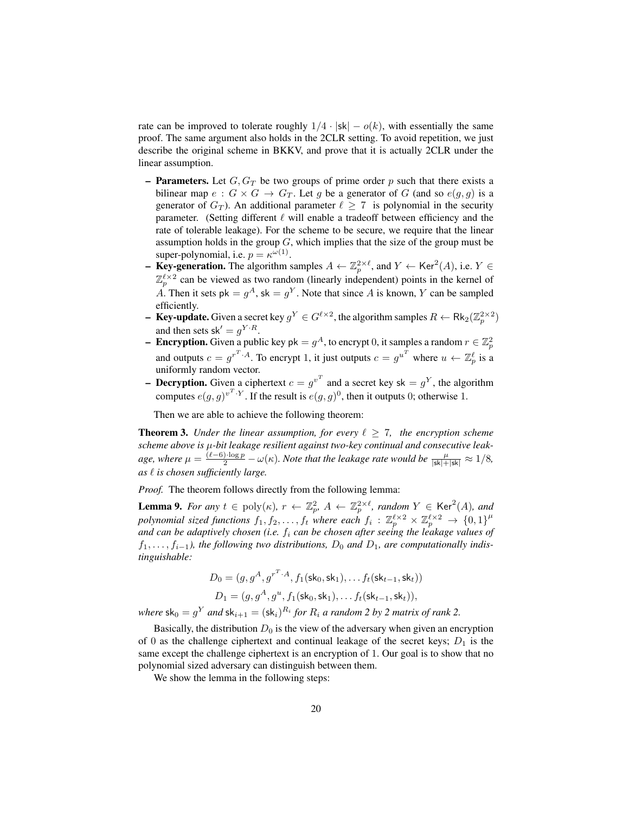rate can be improved to tolerate roughly  $1/4 \cdot |sk| - o(k)$ , with essentially the same proof. The same argument also holds in the 2CLR setting. To avoid repetition, we just describe the original scheme in BKKV, and prove that it is actually 2CLR under the linear assumption.

- **Parameters.** Let  $G, G_T$  be two groups of prime order p such that there exists a bilinear map  $e : G \times G \to G_T$ . Let g be a generator of G (and so  $e(g, g)$ ) is a generator of  $G_T$ ). An additional parameter  $\ell \geq 7$  is polynomial in the security parameter. (Setting different  $\ell$  will enable a tradeoff between efficiency and the rate of tolerable leakage). For the scheme to be secure, we require that the linear assumption holds in the group  $G$ , which implies that the size of the group must be super-polynomial, i.e.  $p = \kappa^{\omega(1)}$ .
- **Key-generation.** The algorithm samples  $A \leftarrow \mathbb{Z}_p^{2\times \ell}$ , and  $Y \leftarrow \text{Ker}^2(A)$ , i.e.  $Y \in$  $\mathbb{Z}_p^{\ell \times 2}$  can be viewed as two random (linearly independent) points in the kernel of A. Then it sets pk =  $g^A$ , sk =  $g^Y$ . Note that since A is known, Y can be sampled efficiently.
- **Key-update.** Given a secret key  $g^Y \in G^{\ell \times 2}$ , the algorithm samples  $R \leftarrow \mathsf{Rk}_2(\mathbb{Z}_p^{2 \times 2})$ and then sets  $sk' = g^{Y \cdot R}$ .
- **Encryption.** Given a public key pk =  $g^A$ , to encrypt 0, it samples a random  $r \in \mathbb{Z}_p^2$ and outputs  $c = g^{r^T \cdot A}$ . To encrypt 1, it just outputs  $c = g^{u^T}$  where  $u \leftarrow \mathbb{Z}_p^{\ell}$  is a uniformly random vector.
- **Decryption.** Given a ciphertext  $c = g^{v^T}$  and a secret key sk =  $g^Y$ , the algorithm computes  $e(g, g) v^{T} Y$ . If the result is  $e(g, g)^0$ , then it outputs 0; otherwise 1.

Then we are able to achieve the following theorem:

**Theorem 3.** *Under the linear assumption, for every*  $\ell \geq 7$ , *the encryption scheme scheme above is* µ*-bit leakage resilient against two-key continual and consecutive leakage, where*  $\mu = \frac{(\ell-6)\cdot \log p}{2} - \omega(\kappa)$ *. Note that the leakage rate would be*  $\frac{\mu}{|sk|+|sk|} \approx 1/8$ *,*  $as \ell$  *is chosen sufficiently large.* 

*Proof.* The theorem follows directly from the following lemma:

**Lemma 9.** *For any*  $t \in \text{poly}(\kappa)$ ,  $r \leftarrow \mathbb{Z}_p^2$ ,  $A \leftarrow \mathbb{Z}_p^{2 \times \ell}$ , *random*  $Y \in \text{Ker}^2(A)$ , *and* polynomial sized functions  $f_1, f_2, \ldots, f_t$  where each  $f_i$  :  $\mathbb{Z}_p^{\ell \times 2} \times \mathbb{Z}_p^{\ell \times 2} \to \{0,1\}^\mu$ *and can be adaptively chosen (i.e.* f<sup>i</sup> *can be chosen after seeing the leakage values of*  $f_1, \ldots, f_{i-1}$ , the following two distributions,  $D_0$  and  $D_1$ , are computationally indis*tinguishable:*

<span id="page-19-0"></span>
$$
D_0 = (g, g^A, g^{r^T \cdot A}, f_1(\text{sk}_0, \text{sk}_1), \dots f_t(\text{sk}_{t-1}, \text{sk}_t))
$$
  

$$
D_1 = (g, g^A, g^u, f_1(\text{sk}_0, \text{sk}_1), \dots f_t(\text{sk}_{t-1}, \text{sk}_t)),
$$

*where*  $\mathsf{sk}_0 = g^Y$  *and*  $\mathsf{sk}_{i+1} = (\mathsf{sk}_i)^{R_i}$  *for*  $R_i$  *a random* 2 *by* 2 *matrix of rank* 2.

Basically, the distribution  $D_0$  is the view of the adversary when given an encryption of 0 as the challenge ciphertext and continual leakage of the secret keys;  $D_1$  is the same except the challenge ciphertext is an encryption of 1. Our goal is to show that no polynomial sized adversary can distinguish between them.

We show the lemma in the following steps: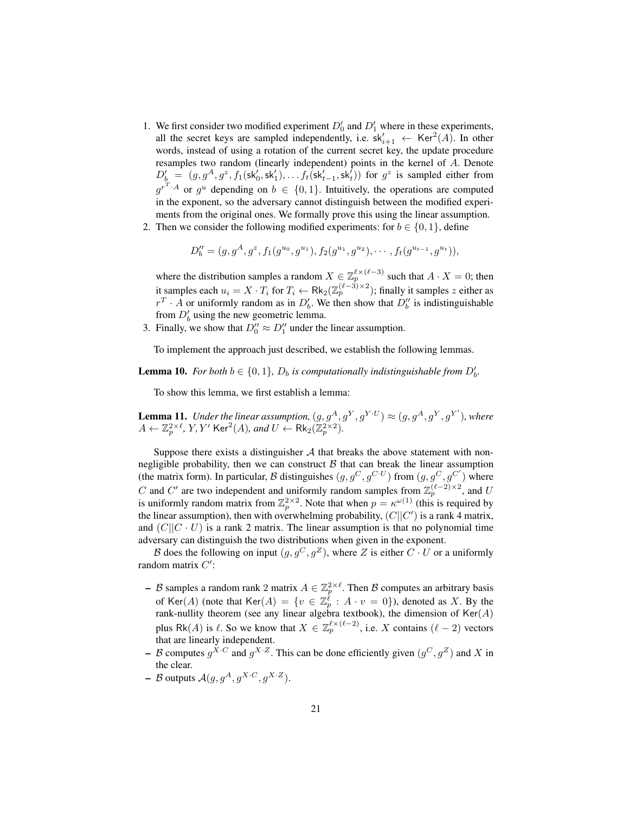- 1. We first consider two modified experiment  $D'_0$  and  $D'_1$  where in these experiments, all the secret keys are sampled independently, i.e.  $sk'_{i+1} \leftarrow \text{Ker}^2(A)$ . In other words, instead of using a rotation of the current secret key, the update procedure resamples two random (linearly independent) points in the kernel of A. Denote  $D'_b = (g, g^A, g^z, f_1(\textsf{sk}'_0, \textsf{sk}'_1), \dots, f_t(\textsf{sk}'_{t-1}, \textsf{sk}'_t))$  for  $g^z$  is sampled either from  $g^{r^T A}$  or  $g^u$  depending on  $b \in \{0,1\}$ . Intuitively, the operations are computed in the exponent, so the adversary cannot distinguish between the modified experiments from the original ones. We formally prove this using the linear assumption.
- 2. Then we consider the following modified experiments: for  $b \in \{0, 1\}$ , define

<span id="page-20-0"></span>
$$
D''_b = (g, g^A, g^z, f_1(g^{u_0}, g^{u_1}), f_2(g^{u_1}, g^{u_2}), \cdots, f_t(g^{u_{t-1}}, g^{u_t})),
$$

where the distribution samples a random  $X \in \mathbb{Z}_p^{\ell \times (\ell-3)}$  such that  $A \cdot X = 0$ ; then it samples each  $u_i = X \cdot T_i$  for  $T_i \leftarrow \mathsf{Rk}_2(\mathbb{Z}_p^{(\ell-3)\times 2})$ ; finally it samples  $z$  either as  $r^T \cdot A$  or uniformly random as in  $D'_b$ . We then show that  $D''_b$  is indistinguishable from  $D'_b$  using the new geometric lemma.

3. Finally, we show that  $D_0'' \approx D_1''$  under the linear assumption.

To implement the approach just described, we establish the following lemmas.

**Lemma 10.** For both  $b \in \{0, 1\}$ ,  $D_b$  is computationally indistinguishable from  $D'_b$ .

To show this lemma, we first establish a lemma:

**Lemma 11.** Under the linear assumption,  $(g, g^A, g^Y, g^{Y \cdot U}) \approx (g, g^A, g^Y, g^{Y'})$ , where  $A \leftarrow \mathbb{Z}_p^{2\times \ell}, Y, Y'$  Ker<sup>2</sup> $(A)$ *, and*  $U \leftarrow \mathsf{Rk}_2(\mathbb{Z}_p^{2\times 2})$ *.* 

Suppose there exists a distinguisher  $A$  that breaks the above statement with nonnegligible probability, then we can construct  $\beta$  that can break the linear assumption (the matrix form). In particular, B distinguishes  $(g, g^C, g^{C \cdot U})$  from  $(g, g^C, g^{C'})$  where C and C' are two independent and uniformly random samples from  $\mathbb{Z}_p^{(\ell-2)\times 2}$ , and U is uniformly random matrix from  $\mathbb{Z}_p^{2\times 2}$ . Note that when  $p = \kappa^{\omega(1)}$  (this is required by the linear assumption), then with overwhelming probability,  $(C||C')$  is a rank 4 matrix, and  $(C||C \cdot U)$  is a rank 2 matrix. The linear assumption is that no polynomial time adversary can distinguish the two distributions when given in the exponent.

B does the following on input  $(g, g^C, g^Z)$ , where Z is either  $C \cdot U$  or a uniformly random matrix  $C'$ :

- B samples a random rank 2 matrix  $A \in \mathbb{Z}_p^{2 \times \ell}$ . Then B computes an arbitrary basis of Ker(A) (note that Ker(A) =  $\{v \in \mathbb{Z}_p^{\hat{\ell}} : A \cdot v = 0\}$ ), denoted as X. By the rank-nullity theorem (see any linear algebra textbook), the dimension of  $\text{Ker}(A)$ plus Rk(A) is  $\ell$ . So we know that  $X \in \mathbb{Z}_p^{\ell \times (\ell-2)}$ , i.e. X contains  $(\ell-2)$  vectors that are linearly independent.
- B computes  $g^{X \cdot C}$  and  $g^{X \cdot Z}$ . This can be done efficiently given  $(g^C, g^Z)$  and X in the clear.
- B outputs  $\mathcal{A}(g, g^A, g^{X \cdot C}, g^{X \cdot Z}).$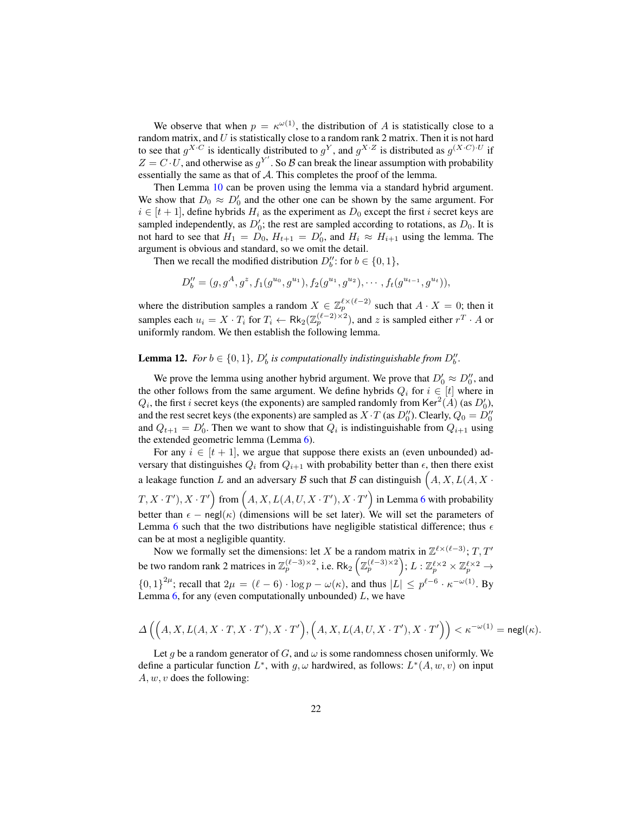We observe that when  $p = \kappa^{\omega(1)}$ , the distribution of A is statistically close to a random matrix, and  $U$  is statistically close to a random rank 2 matrix. Then it is not hard to see that  $g^{X \cdot C}$  is identically distributed to  $g^Y$ , and  $g^{X \cdot Z}$  is distributed as  $g^{(X \cdot C) \cdot U}$  if  $Z = C \cdot U$ , and otherwise as  $g^{Y'}$ . So B can break the linear assumption with probability essentially the same as that of  $A$ . This completes the proof of the lemma.

Then Lemma [10](#page-20-0) can be proven using the lemma via a standard hybrid argument. We show that  $D_0 \approx D'_0$  and the other one can be shown by the same argument. For  $i \in [t+1]$ , define hybrids  $H_i$  as the experiment as  $D_0$  except the first i secret keys are sampled independently, as  $D'_0$ ; the rest are sampled according to rotations, as  $D_0$ . It is not hard to see that  $H_1 = D_0$ ,  $H_{t+1} = D'_0$ , and  $H_i \approx H_{i+1}$  using the lemma. The argument is obvious and standard, so we omit the detail.

Then we recall the modified distribution  $D_b^{\prime\prime}$ : for  $b \in \{0, 1\}$ ,

$$
D''_b = (g, g^A, g^z, f_1(g^{u_0}, g^{u_1}), f_2(g^{u_1}, g^{u_2}), \cdots, f_t(g^{u_{t-1}}, g^{u_t})),
$$

where the distribution samples a random  $X \in \mathbb{Z}_p^{\ell \times (\ell-2)}$  such that  $A \cdot X = 0$ ; then it samples each  $u_i = X \cdot T_i$  for  $T_i \leftarrow \mathsf{Rk}_2(\mathbb{Z}_p^{(\ell-2)\times 2})$ , and z is sampled either  $r^T \cdot A$  or uniformly random. We then establish the following lemma.

# <span id="page-21-0"></span>**Lemma 12.** For  $b \in \{0, 1\}$ ,  $D'_b$  is computationally indistinguishable from  $D''_b$ .

We prove the lemma using another hybrid argument. We prove that  $D'_0 \approx D''_0$ , and the other follows from the same argument. We define hybrids  $Q_i$  for  $i \in [t]$  where in  $Q_i$ , the first *i* secret keys (the exponents) are sampled randomly from Ker<sup>2</sup>(A) (as  $D'_0$ ), and the rest secret keys (the exponents) are sampled as  $X \cdot T$  (as  $D_0''$ ). Clearly,  $Q_0 = D_0''$ and  $Q_{t+1} = D'_0$ . Then we want to show that  $Q_i$  is indistinguishable from  $Q_{i+1}$  using the extended geometric lemma (Lemma [6\)](#page-16-1).

For any  $i \in [t + 1]$ , we argue that suppose there exists an (even unbounded) adversary that distinguishes  $Q_i$  from  $Q_{i+1}$  with probability better than  $\epsilon$ , then there exist a leakage function L and an adversary B such that B can distinguish  $(A, X, L(A, X \cdot$  $(T, X \cdot T'), X \cdot T'$  from  $(A, X, L(A, U, X \cdot T'), X \cdot T')$  in Lemma [6](#page-16-1) with probability better than  $\epsilon$  – negl( $\kappa$ ) (dimensions will be set later). We will set the parameters of Lemma [6](#page-16-1) such that the two distributions have negligible statistical difference; thus  $\epsilon$ can be at most a negligible quantity.

Now we formally set the dimensions: let X be a random matrix in  $\mathbb{Z}^{\ell \times (\ell-3)}$ ; T, T' be two random rank 2 matrices in  $\mathbb{Z}_p^{(\ell-3)\times 2}$ , i.e. Rk<sub>2</sub>  $(\mathbb{Z}_p^{(\ell-3)\times 2})$ ;  $L : \mathbb{Z}_p^{\ell \times 2} \times \mathbb{Z}_p^{\ell \times 2} \to$  ${0,1}^{2\mu}$ ; recall that  $2\mu = (\ell - 6) \cdot \log p - \omega(\kappa)$ , and thus  $|L| \leq p^{\ell-6} \cdot \kappa^{-\omega(1)}$ . By Lemma  $6$ , for any (even computationally unbounded)  $L$ , we have

$$
\Delta\left(\Big(A,X,L(A,X\cdot T,X\cdot T'),X\cdot T'\Big),\Big(A,X,L(A,U,X\cdot T'),X\cdot T'\Big)\right)<\kappa^{-\omega(1)}=\mathsf{negl}(\kappa).
$$

Let g be a random generator of G, and  $\omega$  is some randomness chosen uniformly. We define a particular function  $L^*$ , with  $g, \omega$  hardwired, as follows:  $L^*(A, w, v)$  on input  $A, w, v$  does the following: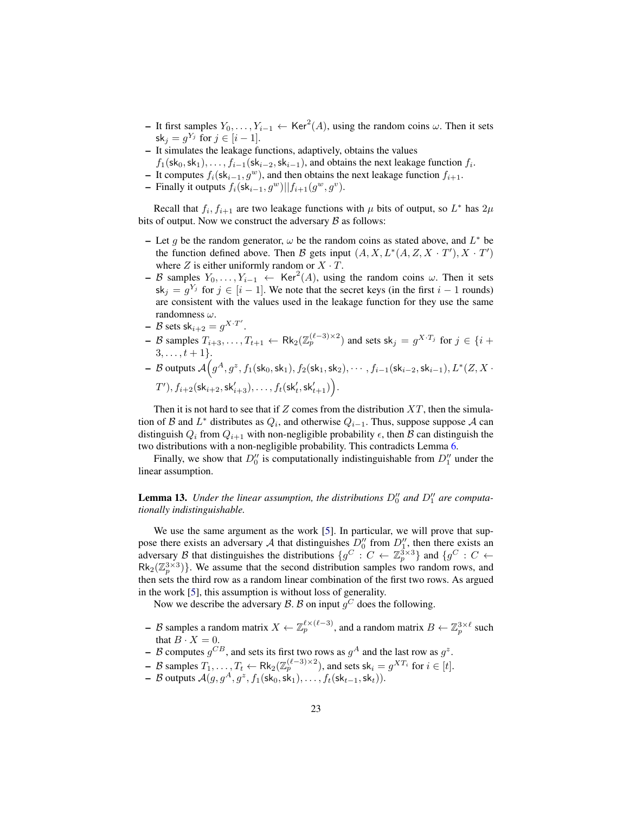- $-$  It first samples  $Y_0, \ldots, Y_{i-1} \leftarrow \text{Ker}^2(A)$ , using the random coins  $ω$ . Then it sets sk $_j = g^{Y_j}$  for  $j \in [i-1]$ .
- It simulates the leakage functions, adaptively, obtains the values  $f_1(\mathsf{sk}_0, \mathsf{sk}_1), \ldots, f_{i-1}(\mathsf{sk}_{i-2}, \mathsf{sk}_{i-1}),$  and obtains the next leakage function  $f_i$ .
- It computes  $f_i$ (sk<sub>i−1</sub>,  $g^w$ ), and then obtains the next leakage function  $f_{i+1}$ .
- Finally it outputs  $f_i(\mathsf{sk}_{i-1}, g^w)||f_{i+1}(g^w, g^v)$ .

Recall that  $f_i, f_{i+1}$  are two leakage functions with  $\mu$  bits of output, so  $L^*$  has  $2\mu$ bits of output. Now we construct the adversary  $\beta$  as follows:

- Let g be the random generator,  $\omega$  be the random coins as stated above, and  $L^*$  be the function defined above. Then B gets input  $(A, X, L^*(A, Z, X \cdot T'), X \cdot T')$ where  $Z$  is either uniformly random or  $X \cdot T$ .
- $-$  *B* samples  $Y_0, \ldots, Y_{i-1}$  ← Ker<sup>2</sup>(*A*), using the random coins ω. Then it sets  $sk_j = g^{Y_j}$  for  $j \in [i-1]$ . We note that the secret keys (in the first  $i-1$  rounds) are consistent with the values used in the leakage function for they use the same randomness  $\omega$ .
- $-$  B sets sk<sub>i+2</sub> =  $g^{X \cdot T'}$ .
- $-$  B samples  $T_{i+3}, \ldots, T_{t+1} \leftarrow \mathsf{Rk}_2(\mathbb{Z}_p^{(\ell-3)\times 2})$  and sets  $\mathsf{sk}_j = g^{X \cdot T_j}$  for  $j \in \{i+1\}$  $3, \ldots, t + 1$ .
- ${\cal B}$  outputs  ${\cal A} \Big( g^A, g^z, f_1({\sf sk}_0,{\sf sk}_1), f_2({\sf sk}_1,{\sf sk}_2), \cdots, f_{i-1}({\sf sk}_{i-2},{\sf sk}_{i-1}), L^*(Z, X\cdot)$  $(T'), f_{i+2}(\mathsf{sk}_{i+2},\mathsf{sk}_{i+3}'), \ldots, f_t(\mathsf{sk}_t',\mathsf{sk}_{t+1}')\Big).$

Then it is not hard to see that if  $Z$  comes from the distribution  $XT$ , then the simulation of B and  $L^*$  distributes as  $Q_i$ , and otherwise  $Q_{i-1}$ . Thus, suppose suppose A can distinguish  $Q_i$  from  $Q_{i+1}$  with non-negligible probability  $\epsilon$ , then  $\beta$  can distinguish the two distributions with a non-negligible probability. This contradicts Lemma [6.](#page-16-1)

Finally, we show that  $D_0''$  is computationally indistinguishable from  $D_1''$  under the linear assumption.

<span id="page-22-0"></span>**Lemma 13.** Under the linear assumption, the distributions  $D_0''$  and  $D_1''$  are computa*tionally indistinguishable.*

We use the same argument as the work [\[5\]](#page-24-2). In particular, we will prove that suppose there exists an adversary A that distinguishes  $D_0''$  from  $D_1''$ , then there exists an adversary B that distinguishes the distributions  $\{g^C: C \leftarrow \mathbb{Z}_p^{3 \times 3}\}$  and  $\{g^C: C \leftarrow$  $\mathsf{Rk}_2(\mathbb{Z}_p^{3\times 3})\}$ . We assume that the second distribution samples two random rows, and then sets the third row as a random linear combination of the first two rows. As argued in the work [\[5\]](#page-24-2), this assumption is without loss of generality.

Now we describe the adversary  $\mathcal{B}$ .  $\mathcal{B}$  on input  $g^C$  does the following.

- *B* samples a random matrix  $X \leftarrow \mathbb{Z}_p^{\ell \times (\ell-3)}$ , and a random matrix  $B \leftarrow \mathbb{Z}_p^{3 \times \ell}$  such that  $B \cdot X = 0$ .
- B computes  $g^{CB}$ , and sets its first two rows as  $g^A$  and the last row as  $g^z$ .
- − *B* samples  $T_1, \ldots, T_t$  ← Rk<sub>2</sub>( $\mathbb{Z}_p^{(\ell-3)\times 2}$ ), and sets sk<sub>i</sub> =  $g^{XT_i}$  for  $i \in [t]$ .
- *B* outputs  $\mathcal{A}(g, g^A, g^z, f_1(\textsf{sk}_0, \textsf{sk}_1), \ldots, f_t(\textsf{sk}_{t-1}, \textsf{sk}_t)).$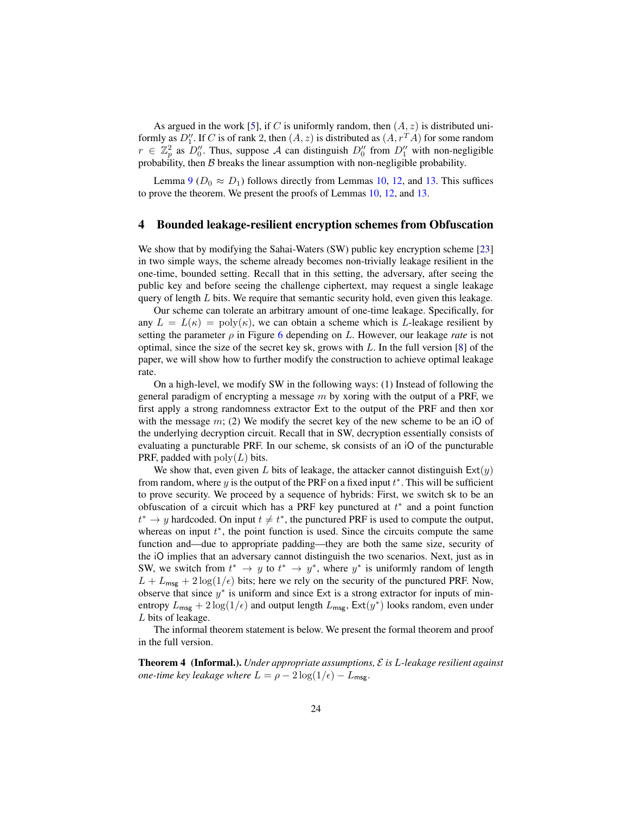As argued in the work [\[5\]](#page-24-2), if C is uniformly random, then  $(A, z)$  is distributed uniformly as  $D''_1$ . If C is of rank 2, then  $(A, z)$  is distributed as  $(A, r^T A)$  for some random  $r \in \mathbb{Z}_p^2$  as  $D_0''$ . Thus, suppose A can distinguish  $D_0''$  from  $D_1''$  with non-negligible probability, then  $B$  breaks the linear assumption with non-negligible probability.

Lemma [9](#page-19-0) ( $D_0 \approx D_1$ ) follows directly from Lemmas [10,](#page-20-0) [12,](#page-21-0) and [13.](#page-22-0) This suffices to prove the theorem. We present the proofs of Lemmas [10,](#page-20-0) [12,](#page-21-0) and [13.](#page-22-0)

### 4 Bounded leakage-resilient encryption schemes from Obfuscation

We show that by modifying the Sahai-Waters (SW) public key encryption scheme [\[23\]](#page-25-10) in two simple ways, the scheme already becomes non-trivially leakage resilient in the one-time, bounded setting. Recall that in this setting, the adversary, after seeing the public key and before seeing the challenge ciphertext, may request a single leakage query of length  $L$  bits. We require that semantic security hold, even given this leakage.

Our scheme can tolerate an arbitrary amount of one-time leakage. Specifically, for any  $L = L(\kappa) = \text{poly}(\kappa)$ , we can obtain a scheme which is L-leakage resilient by setting the parameter  $\rho$  in Figure [6](#page-24-5) depending on L. However, our leakage *rate* is not optimal, since the size of the secret key sk, grows with  $L$ . In the full version [\[8\]](#page-25-17) of the paper, we will show how to further modify the construction to achieve optimal leakage rate.

On a high-level, we modify SW in the following ways: (1) Instead of following the general paradigm of encrypting a message  $m$  by xoring with the output of a PRF, we first apply a strong randomness extractor Ext to the output of the PRF and then xor with the message  $m$ ; (2) We modify the secret key of the new scheme to be an iO of the underlying decryption circuit. Recall that in SW, decryption essentially consists of evaluating a puncturable PRF. In our scheme, sk consists of an iO of the puncturable PRF, padded with  $poly(L)$  bits.

We show that, even given L bits of leakage, the attacker cannot distinguish  $Ext(y)$ from random, where  $y$  is the output of the PRF on a fixed input  $t^*$ . This will be sufficient to prove security. We proceed by a sequence of hybrids: First, we switch sk to be an obfuscation of a circuit which has a PRF key punctured at  $t^*$  and a point function  $t^*$  → y hardcoded. On input  $t \neq t^*$ , the punctured PRF is used to compute the output, whereas on input  $t^*$ , the point function is used. Since the circuits compute the same function and—due to appropriate padding—they are both the same size, security of the iO implies that an adversary cannot distinguish the two scenarios. Next, just as in SW, we switch from  $t^* \to y$  to  $t^* \to y^*$ , where  $y^*$  is uniformly random of length  $L + L_{\text{msg}} + 2 \log(1/\epsilon)$  bits; here we rely on the security of the punctured PRF. Now, observe that since  $y^*$  is uniform and since Ext is a strong extractor for inputs of minentropy  $L_{\text{msg}} + 2\log(1/\epsilon)$  and output length  $L_{\text{msg}}$ ,  $\text{Ext}(y^*)$  looks random, even under L bits of leakage.

The informal theorem statement is below. We present the formal theorem and proof in the full version.

**Theorem 4 (Informal.).** *Under appropriate assumptions,*  $\mathcal{E}$  *is L-leakage resilient against one-time key leakage where*  $L = \rho - 2 \log(1/\epsilon) - L_{\text{mse}}$ .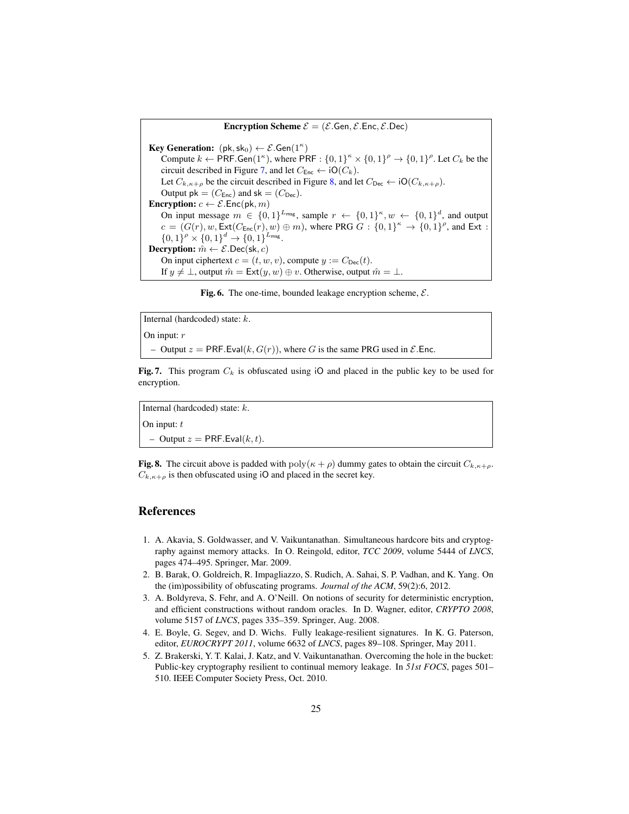**Encryption Scheme**  $\mathcal{E} = (\mathcal{E} \cdot \mathsf{Gen}, \mathcal{E} \cdot \mathsf{Enc}, \mathcal{E} \cdot \mathsf{Dec})$ **Key Generation:**  $(\mathsf{pk}, \mathsf{sk}_0) \leftarrow \mathcal{E}.\mathsf{Gen}(1^\kappa)$ Compute  $k \leftarrow \text{PRF}.\text{Gen}(1^{\kappa})$ , where  $\text{PRF}: \{0,1\}^{\kappa} \times \{0,1\}^{\rho} \rightarrow \{0,1\}^{\rho}.\text{ Let } C_k \text{ be the }$ circuit described in Figure [7,](#page-24-6) and let  $C_{\text{Enc}} \leftarrow \text{iO}(C_k)$ . Let  $C_{k,\kappa+\rho}$  be the circuit described in Figure [8,](#page-24-7) and let  $C_{\text{Dec}} \leftarrow \text{iO}(C_{k,\kappa+\rho})$ . Output  $pk = (C_{Enc})$  and  $sk = (C_{Dec})$ . Encryption:  $c \leftarrow \mathcal{E}$ . Enc(pk, m) On input message  $m \in \{0,1\}^{L_{\text{msg}}}$ , sample  $r \leftarrow \{0,1\}^{\kappa}, w \leftarrow \{0,1\}^d$ , and output  $c = (G(r), w, \text{Ext}(C_{\text{Enc}}(r), w) \oplus m)$ , where PRG  $G : \{0,1\}^{\kappa} \to \{0,1\}^{\rho}$ , and Ext :  ${0,1}^{\rho} \times {0,1}^d \rightarrow {0,1}^{L_{\text{msg}}}.$ **Decryption:**  $\hat{m} \leftarrow \mathcal{E}$ .Dec(sk, c) On input ciphertext  $c = (t, w, v)$ , compute  $y := C_{\text{Dec}}(t)$ . If  $y \neq \bot$ , output  $\hat{m} = \text{Ext}(y, w) \oplus v$ . Otherwise, output  $\hat{m} = \bot$ .

<span id="page-24-5"></span>Fig. 6. The one-time, bounded leakage encryption scheme,  $\mathcal{E}$ .

Internal (hardcoded) state: k.

On input:  $r$ 

<span id="page-24-6"></span>Output  $z = \text{PRF.Eval}(k, G(r))$ , where G is the same PRG used in  $\mathcal{E}$ . Enc.

Fig. 7. This program  $C_k$  is obfuscated using iO and placed in the public key to be used for encryption.

```
Internal (hardcoded) state: k.
On input: t- Output z = \text{PRF.Eval}(k, t).
```
<span id="page-24-7"></span>**Fig. 8.** The circuit above is padded with  $\text{poly}(\kappa + \rho)$  dummy gates to obtain the circuit  $C_{k,\kappa+\rho}$ .  $C_{k,\kappa+\rho}$  is then obfuscated using iO and placed in the secret key.

# References

- <span id="page-24-0"></span>1. A. Akavia, S. Goldwasser, and V. Vaikuntanathan. Simultaneous hardcore bits and cryptography against memory attacks. In O. Reingold, editor, *TCC 2009*, volume 5444 of *LNCS*, pages 474–495. Springer, Mar. 2009.
- <span id="page-24-3"></span>2. B. Barak, O. Goldreich, R. Impagliazzo, S. Rudich, A. Sahai, S. P. Vadhan, and K. Yang. On the (im)possibility of obfuscating programs. *Journal of the ACM*, 59(2):6, 2012.
- <span id="page-24-4"></span>3. A. Boldyreva, S. Fehr, and A. O'Neill. On notions of security for deterministic encryption, and efficient constructions without random oracles. In D. Wagner, editor, *CRYPTO 2008*, volume 5157 of *LNCS*, pages 335–359. Springer, Aug. 2008.
- <span id="page-24-1"></span>4. E. Boyle, G. Segev, and D. Wichs. Fully leakage-resilient signatures. In K. G. Paterson, editor, *EUROCRYPT 2011*, volume 6632 of *LNCS*, pages 89–108. Springer, May 2011.
- <span id="page-24-2"></span>5. Z. Brakerski, Y. T. Kalai, J. Katz, and V. Vaikuntanathan. Overcoming the hole in the bucket: Public-key cryptography resilient to continual memory leakage. In *51st FOCS*, pages 501– 510. IEEE Computer Society Press, Oct. 2010.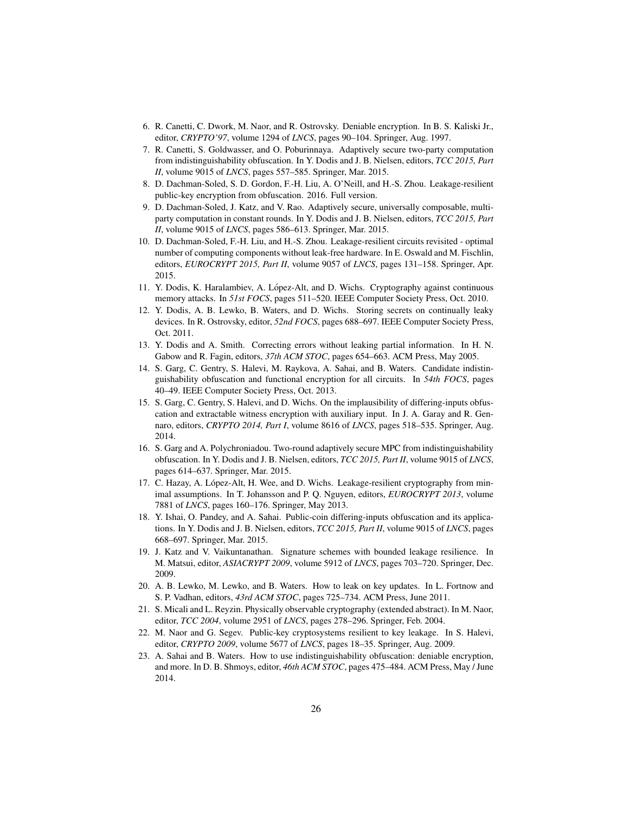- <span id="page-25-7"></span>6. R. Canetti, C. Dwork, M. Naor, and R. Ostrovsky. Deniable encryption. In B. S. Kaliski Jr., editor, *CRYPTO'97*, volume 1294 of *LNCS*, pages 90–104. Springer, Aug. 1997.
- <span id="page-25-13"></span>7. R. Canetti, S. Goldwasser, and O. Poburinnaya. Adaptively secure two-party computation from indistinguishability obfuscation. In Y. Dodis and J. B. Nielsen, editors, *TCC 2015, Part II*, volume 9015 of *LNCS*, pages 557–585. Springer, Mar. 2015.
- <span id="page-25-17"></span>8. D. Dachman-Soled, S. D. Gordon, F.-H. Liu, A. O'Neill, and H.-S. Zhou. Leakage-resilient public-key encryption from obfuscation. 2016. Full version.
- <span id="page-25-14"></span>9. D. Dachman-Soled, J. Katz, and V. Rao. Adaptively secure, universally composable, multiparty computation in constant rounds. In Y. Dodis and J. B. Nielsen, editors, *TCC 2015, Part II*, volume 9015 of *LNCS*, pages 586–613. Springer, Mar. 2015.
- <span id="page-25-15"></span>10. D. Dachman-Soled, F.-H. Liu, and H.-S. Zhou. Leakage-resilient circuits revisited - optimal number of computing components without leak-free hardware. In E. Oswald and M. Fischlin, editors, *EUROCRYPT 2015, Part II*, volume 9057 of *LNCS*, pages 131–158. Springer, Apr. 2015.
- <span id="page-25-3"></span>11. Y. Dodis, K. Haralambiev, A. Lopez-Alt, and D. Wichs. Cryptography against continuous ´ memory attacks. In *51st FOCS*, pages 511–520. IEEE Computer Society Press, Oct. 2010.
- <span id="page-25-6"></span>12. Y. Dodis, A. B. Lewko, B. Waters, and D. Wichs. Storing secrets on continually leaky devices. In R. Ostrovsky, editor, *52nd FOCS*, pages 688–697. IEEE Computer Society Press, Oct. 2011.
- <span id="page-25-16"></span>13. Y. Dodis and A. Smith. Correcting errors without leaking partial information. In H. N. Gabow and R. Fagin, editors, *37th ACM STOC*, pages 654–663. ACM Press, May 2005.
- <span id="page-25-8"></span>14. S. Garg, C. Gentry, S. Halevi, M. Raykova, A. Sahai, and B. Waters. Candidate indistinguishability obfuscation and functional encryption for all circuits. In *54th FOCS*, pages 40–49. IEEE Computer Society Press, Oct. 2013.
- <span id="page-25-11"></span>15. S. Garg, C. Gentry, S. Halevi, and D. Wichs. On the implausibility of differing-inputs obfuscation and extractable witness encryption with auxiliary input. In J. A. Garay and R. Gennaro, editors, *CRYPTO 2014, Part I*, volume 8616 of *LNCS*, pages 518–535. Springer, Aug. 2014.
- <span id="page-25-12"></span>16. S. Garg and A. Polychroniadou. Two-round adaptively secure MPC from indistinguishability obfuscation. In Y. Dodis and J. B. Nielsen, editors, *TCC 2015, Part II*, volume 9015 of *LNCS*, pages 614–637. Springer, Mar. 2015.
- <span id="page-25-2"></span>17. C. Hazay, A. Lopez-Alt, H. Wee, and D. Wichs. Leakage-resilient cryptography from min- ´ imal assumptions. In T. Johansson and P. Q. Nguyen, editors, *EUROCRYPT 2013*, volume 7881 of *LNCS*, pages 160–176. Springer, May 2013.
- <span id="page-25-9"></span>18. Y. Ishai, O. Pandey, and A. Sahai. Public-coin differing-inputs obfuscation and its applications. In Y. Dodis and J. B. Nielsen, editors, *TCC 2015, Part II*, volume 9015 of *LNCS*, pages 668–697. Springer, Mar. 2015.
- <span id="page-25-1"></span>19. J. Katz and V. Vaikuntanathan. Signature schemes with bounded leakage resilience. In M. Matsui, editor, *ASIACRYPT 2009*, volume 5912 of *LNCS*, pages 703–720. Springer, Dec. 2009.
- <span id="page-25-5"></span>20. A. B. Lewko, M. Lewko, and B. Waters. How to leak on key updates. In L. Fortnow and S. P. Vadhan, editors, *43rd ACM STOC*, pages 725–734. ACM Press, June 2011.
- <span id="page-25-4"></span>21. S. Micali and L. Reyzin. Physically observable cryptography (extended abstract). In M. Naor, editor, *TCC 2004*, volume 2951 of *LNCS*, pages 278–296. Springer, Feb. 2004.
- <span id="page-25-0"></span>22. M. Naor and G. Segev. Public-key cryptosystems resilient to key leakage. In S. Halevi, editor, *CRYPTO 2009*, volume 5677 of *LNCS*, pages 18–35. Springer, Aug. 2009.
- <span id="page-25-10"></span>23. A. Sahai and B. Waters. How to use indistinguishability obfuscation: deniable encryption, and more. In D. B. Shmoys, editor, *46th ACM STOC*, pages 475–484. ACM Press, May / June 2014.